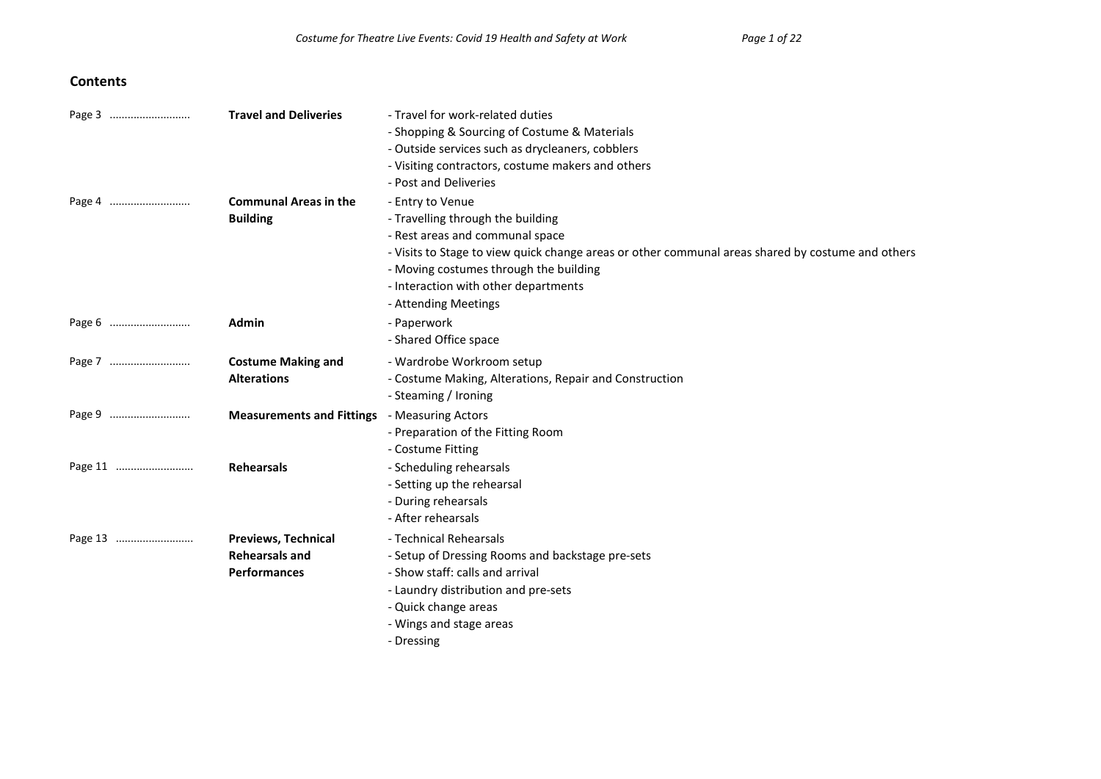#### **Contents**

|         | <b>Travel and Deliveries</b>     | - Travel for work-related duties                                                                  |
|---------|----------------------------------|---------------------------------------------------------------------------------------------------|
|         |                                  | - Shopping & Sourcing of Costume & Materials                                                      |
|         |                                  | - Outside services such as drycleaners, cobblers                                                  |
|         |                                  | - Visiting contractors, costume makers and others                                                 |
|         |                                  | - Post and Deliveries                                                                             |
|         | <b>Communal Areas in the</b>     | - Entry to Venue                                                                                  |
|         | <b>Building</b>                  | - Travelling through the building                                                                 |
|         |                                  | - Rest areas and communal space                                                                   |
|         |                                  | - Visits to Stage to view quick change areas or other communal areas shared by costume and others |
|         |                                  | - Moving costumes through the building                                                            |
|         |                                  | - Interaction with other departments                                                              |
|         |                                  | - Attending Meetings                                                                              |
| Page 6  | Admin                            | - Paperwork                                                                                       |
|         |                                  | - Shared Office space                                                                             |
| Page 7  | <b>Costume Making and</b>        | - Wardrobe Workroom setup                                                                         |
|         | <b>Alterations</b>               | - Costume Making, Alterations, Repair and Construction                                            |
|         |                                  | - Steaming / Ironing                                                                              |
| Page 9  | <b>Measurements and Fittings</b> | - Measuring Actors                                                                                |
|         |                                  | - Preparation of the Fitting Room                                                                 |
|         |                                  | - Costume Fitting                                                                                 |
| Page 11 | <b>Rehearsals</b>                | - Scheduling rehearsals                                                                           |
|         |                                  | - Setting up the rehearsal                                                                        |
|         |                                  | - During rehearsals                                                                               |
|         |                                  | - After rehearsals                                                                                |
| Page 13 | <b>Previews, Technical</b>       | - Technical Rehearsals                                                                            |
|         | <b>Rehearsals and</b>            | - Setup of Dressing Rooms and backstage pre-sets                                                  |
|         | <b>Performances</b>              | - Show staff: calls and arrival                                                                   |
|         |                                  | - Laundry distribution and pre-sets                                                               |
|         |                                  | - Quick change areas                                                                              |
|         |                                  | - Wings and stage areas                                                                           |
|         |                                  | - Dressing                                                                                        |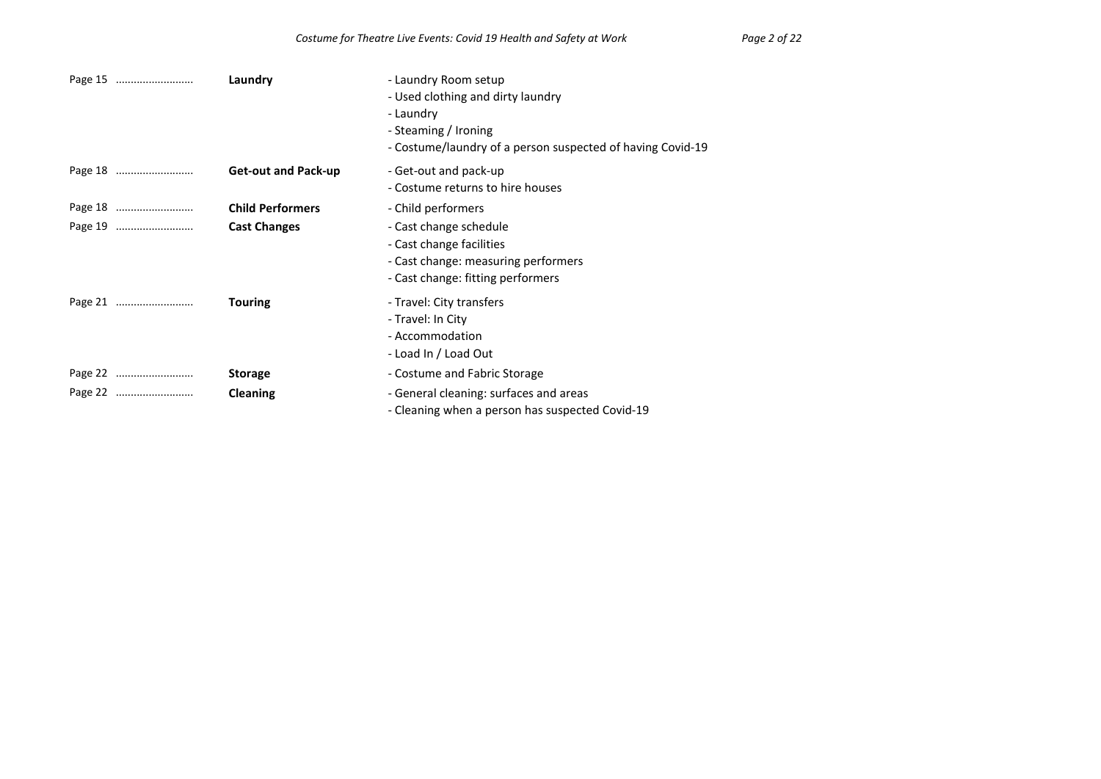|         | Laundry                    | - Laundry Room setup<br>- Used clothing and dirty laundry<br>- Laundry<br>- Steaming / Ironing<br>- Costume/laundry of a person suspected of having Covid-19 |
|---------|----------------------------|--------------------------------------------------------------------------------------------------------------------------------------------------------------|
| Page 18 | <b>Get-out and Pack-up</b> | - Get-out and pack-up<br>- Costume returns to hire houses                                                                                                    |
|         | <b>Child Performers</b>    | - Child performers                                                                                                                                           |
|         | <b>Cast Changes</b>        | - Cast change schedule<br>- Cast change facilities<br>- Cast change: measuring performers<br>- Cast change: fitting performers                               |
| Page 21 | <b>Touring</b>             | - Travel: City transfers<br>- Travel: In City<br>- Accommodation<br>- Load In / Load Out                                                                     |
|         | <b>Storage</b>             | - Costume and Fabric Storage                                                                                                                                 |
| Page 22 | Cleaning                   | - General cleaning: surfaces and areas<br>- Cleaning when a person has suspected Covid-19                                                                    |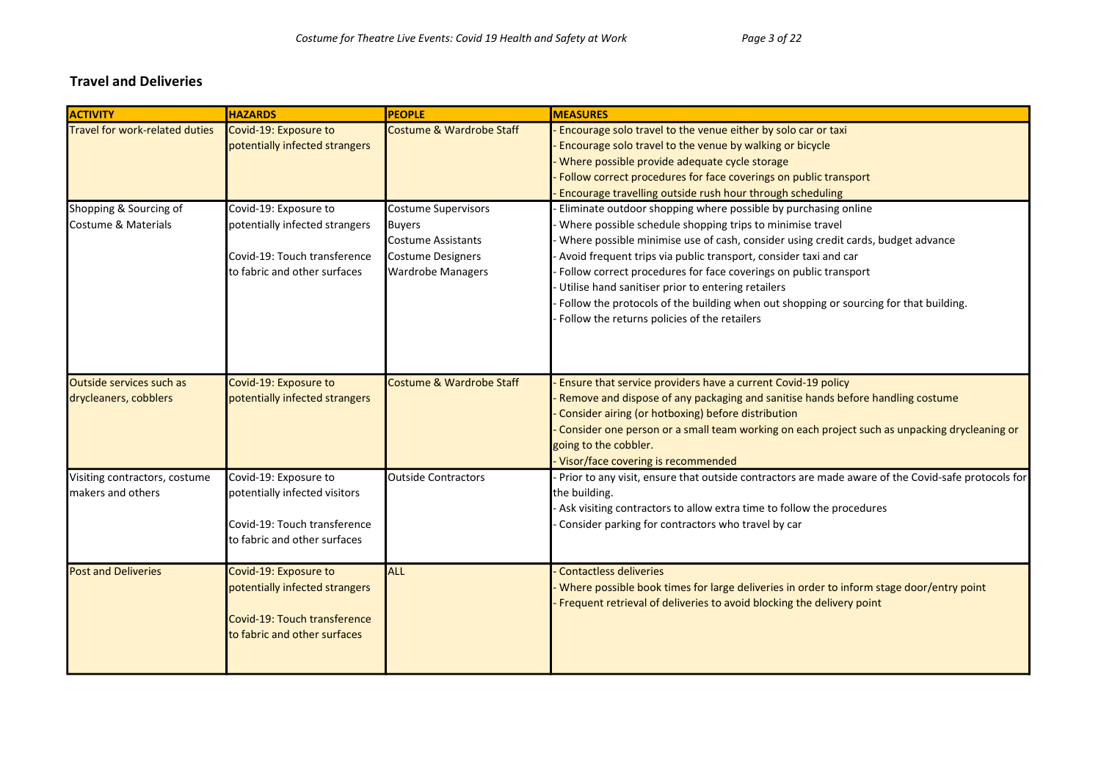#### Travel and Deliveries

| <b>ACTIVITY</b>                                          | <b>HAZARDS</b>                                                                                                          | <b>PEOPLE</b>                                                                                                             | <b>MEASURES</b>                                                                                                                                                                                                                                                                                                                                                                                                                                                                                                                                        |
|----------------------------------------------------------|-------------------------------------------------------------------------------------------------------------------------|---------------------------------------------------------------------------------------------------------------------------|--------------------------------------------------------------------------------------------------------------------------------------------------------------------------------------------------------------------------------------------------------------------------------------------------------------------------------------------------------------------------------------------------------------------------------------------------------------------------------------------------------------------------------------------------------|
| Travel for work-related duties                           | Covid-19: Exposure to<br>potentially infected strangers                                                                 | Costume & Wardrobe Staff                                                                                                  | Encourage solo travel to the venue either by solo car or taxi<br>Encourage solo travel to the venue by walking or bicycle<br>Where possible provide adequate cycle storage<br>Follow correct procedures for face coverings on public transport<br>Encourage travelling outside rush hour through scheduling                                                                                                                                                                                                                                            |
| Shopping & Sourcing of<br>Costume & Materials            | Covid-19: Exposure to<br>potentially infected strangers<br>Covid-19: Touch transference<br>to fabric and other surfaces | Costume Supervisors<br><b>Buyers</b><br><b>Costume Assistants</b><br><b>Costume Designers</b><br><b>Wardrobe Managers</b> | Eliminate outdoor shopping where possible by purchasing online<br>Where possible schedule shopping trips to minimise travel<br>Where possible minimise use of cash, consider using credit cards, budget advance<br>Avoid frequent trips via public transport, consider taxi and car<br>Follow correct procedures for face coverings on public transport<br>Utilise hand sanitiser prior to entering retailers<br>Follow the protocols of the building when out shopping or sourcing for that building.<br>Follow the returns policies of the retailers |
| <b>Outside services such as</b><br>drycleaners, cobblers | Covid-19: Exposure to<br>potentially infected strangers                                                                 | Costume & Wardrobe Staff                                                                                                  | Ensure that service providers have a current Covid-19 policy<br>Remove and dispose of any packaging and sanitise hands before handling costume<br>Consider airing (or hotboxing) before distribution<br>Consider one person or a small team working on each project such as unpacking drycleaning or<br>going to the cobbler.<br>Visor/face covering is recommended                                                                                                                                                                                    |
| Visiting contractors, costume<br>makers and others       | Covid-19: Exposure to<br>potentially infected visitors<br>Covid-19: Touch transference<br>to fabric and other surfaces  | <b>Outside Contractors</b>                                                                                                | Prior to any visit, ensure that outside contractors are made aware of the Covid-safe protocols for<br>the building.<br>Ask visiting contractors to allow extra time to follow the procedures<br>Consider parking for contractors who travel by car                                                                                                                                                                                                                                                                                                     |
| <b>Post and Deliveries</b>                               | Covid-19: Exposure to<br>potentially infected strangers<br>Covid-19: Touch transference<br>to fabric and other surfaces | ALL                                                                                                                       | <b>Contactless deliveries</b><br>Where possible book times for large deliveries in order to inform stage door/entry point<br>Frequent retrieval of deliveries to avoid blocking the delivery point                                                                                                                                                                                                                                                                                                                                                     |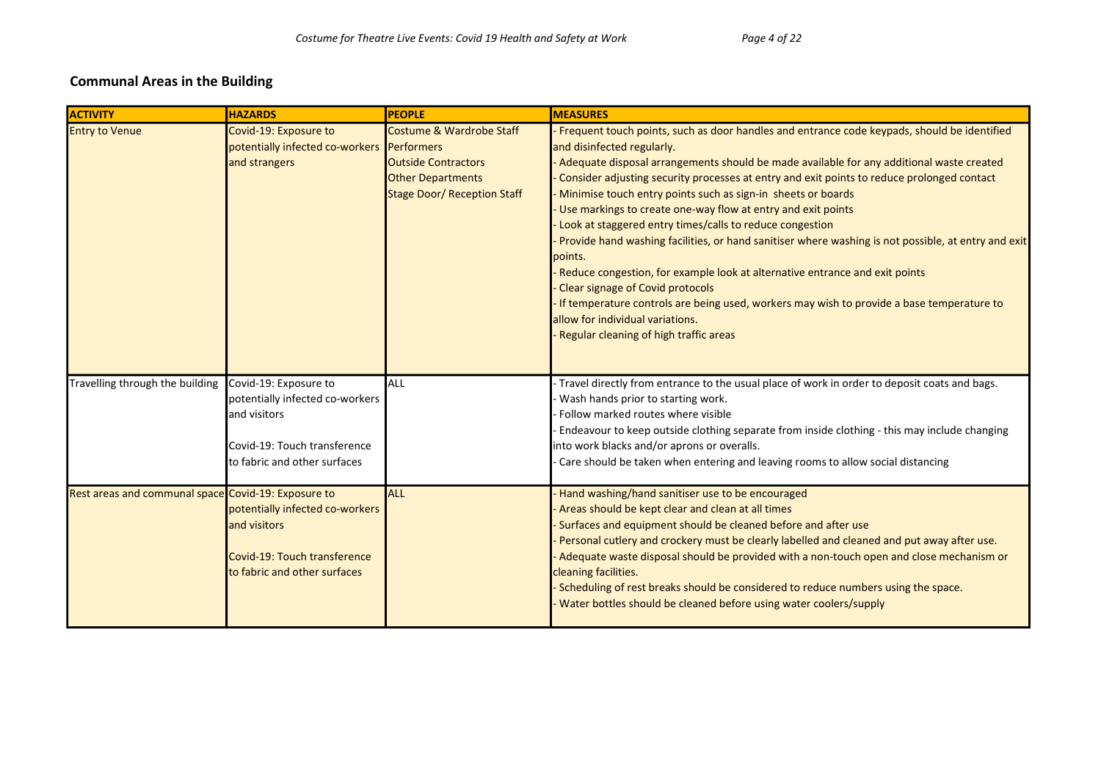### Communal Areas in the Building

| <b>ACTIVITY</b>                                     | <b>HAZARDS</b>                                                                                                                           | <b>PEOPLE</b>                                                                                                            | <b>MEASURES</b>                                                                                                                                                                                                                                                                                                                                                                                                                                                                                                                                                                                                                                                                                                                                                                                                                                                                                                                 |
|-----------------------------------------------------|------------------------------------------------------------------------------------------------------------------------------------------|--------------------------------------------------------------------------------------------------------------------------|---------------------------------------------------------------------------------------------------------------------------------------------------------------------------------------------------------------------------------------------------------------------------------------------------------------------------------------------------------------------------------------------------------------------------------------------------------------------------------------------------------------------------------------------------------------------------------------------------------------------------------------------------------------------------------------------------------------------------------------------------------------------------------------------------------------------------------------------------------------------------------------------------------------------------------|
| <b>Entry to Venue</b>                               | Covid-19: Exposure to<br>potentially infected co-workers Performers<br>and strangers                                                     | Costume & Wardrobe Staff<br><b>Outside Contractors</b><br><b>Other Departments</b><br><b>Stage Door/ Reception Staff</b> | Frequent touch points, such as door handles and entrance code keypads, should be identified<br>and disinfected regularly.<br>Adequate disposal arrangements should be made available for any additional waste created<br>Consider adjusting security processes at entry and exit points to reduce prolonged contact<br>Minimise touch entry points such as sign-in sheets or boards<br>Use markings to create one-way flow at entry and exit points<br>Look at staggered entry times/calls to reduce congestion<br>Provide hand washing facilities, or hand sanitiser where washing is not possible, at entry and exit<br>points.<br>Reduce congestion, for example look at alternative entrance and exit points<br>Clear signage of Covid protocols<br>If temperature controls are being used, workers may wish to provide a base temperature to<br>allow for individual variations.<br>Regular cleaning of high traffic areas |
| Travelling through the building                     | Covid-19: Exposure to<br>potentially infected co-workers<br>and visitors<br>Covid-19: Touch transference<br>to fabric and other surfaces | <b>ALL</b>                                                                                                               | - Travel directly from entrance to the usual place of work in order to deposit coats and bags.<br>Wash hands prior to starting work.<br>Follow marked routes where visible<br>- Endeavour to keep outside clothing separate from inside clothing - this may include changing<br>into work blacks and/or aprons or overalls.<br>Care should be taken when entering and leaving rooms to allow social distancing                                                                                                                                                                                                                                                                                                                                                                                                                                                                                                                  |
| Rest areas and communal space Covid-19: Exposure to | potentially infected co-workers<br>and visitors<br>Covid-19: Touch transference<br>to fabric and other surfaces                          | <b>ALL</b>                                                                                                               | Hand washing/hand sanitiser use to be encouraged<br>Areas should be kept clear and clean at all times<br>Surfaces and equipment should be cleaned before and after use<br>Personal cutlery and crockery must be clearly labelled and cleaned and put away after use.<br>Adequate waste disposal should be provided with a non-touch open and close mechanism or<br>cleaning facilities.<br>Scheduling of rest breaks should be considered to reduce numbers using the space.<br>Water bottles should be cleaned before using water coolers/supply                                                                                                                                                                                                                                                                                                                                                                               |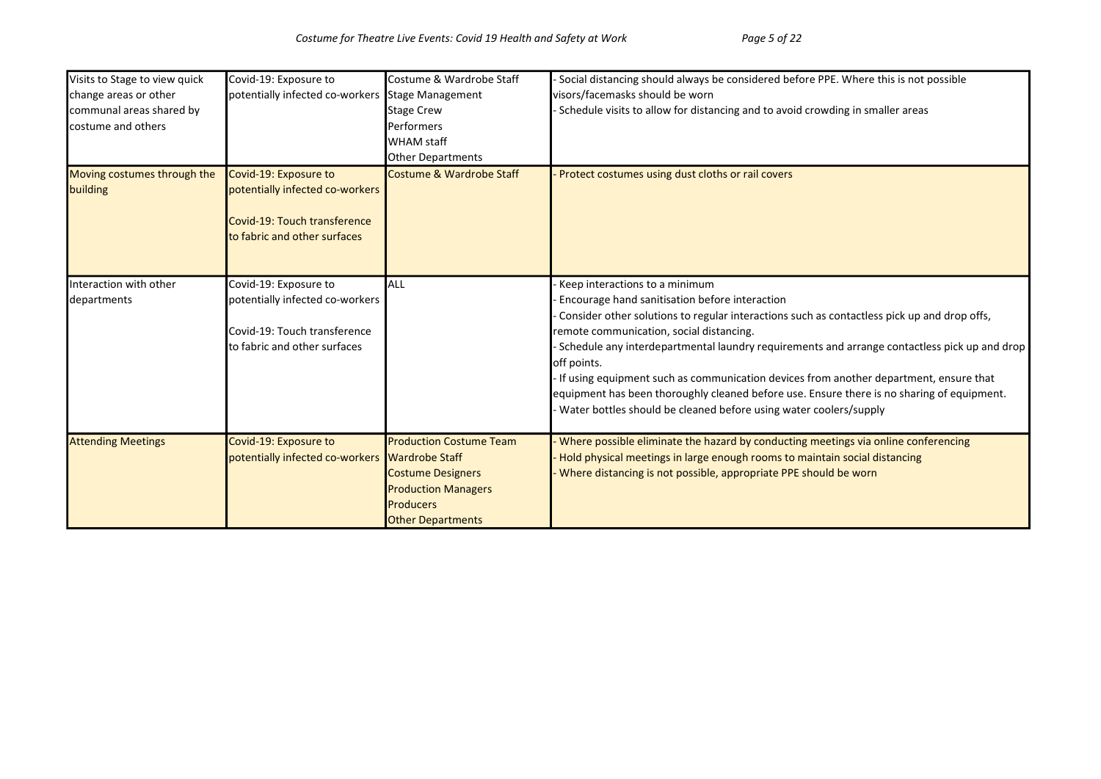| Visits to Stage to view quick | Covid-19: Exposure to           | Costume & Wardrobe Staff       | Social distancing should always be considered before PPE. Where this is not possible         |
|-------------------------------|---------------------------------|--------------------------------|----------------------------------------------------------------------------------------------|
| change areas or other         | potentially infected co-workers | Stage Management               | visors/facemasks should be worn                                                              |
| communal areas shared by      |                                 | <b>Stage Crew</b>              | Schedule visits to allow for distancing and to avoid crowding in smaller areas               |
| costume and others            |                                 | Performers                     |                                                                                              |
|                               |                                 | <b>WHAM</b> staff              |                                                                                              |
|                               |                                 | <b>Other Departments</b>       |                                                                                              |
| Moving costumes through the   | Covid-19: Exposure to           | Costume & Wardrobe Staff       | Protect costumes using dust cloths or rail covers                                            |
| building                      | potentially infected co-workers |                                |                                                                                              |
|                               |                                 |                                |                                                                                              |
|                               | Covid-19: Touch transference    |                                |                                                                                              |
|                               | to fabric and other surfaces    |                                |                                                                                              |
|                               |                                 |                                |                                                                                              |
|                               |                                 |                                |                                                                                              |
| Interaction with other        | Covid-19: Exposure to           | <b>ALL</b>                     | Keep interactions to a minimum                                                               |
| departments                   | potentially infected co-workers |                                | Encourage hand sanitisation before interaction                                               |
|                               |                                 |                                | Consider other solutions to regular interactions such as contactless pick up and drop offs,  |
|                               | Covid-19: Touch transference    |                                | remote communication, social distancing.                                                     |
|                               | to fabric and other surfaces    |                                | Schedule any interdepartmental laundry requirements and arrange contactless pick up and drop |
|                               |                                 |                                | off points.                                                                                  |
|                               |                                 |                                | If using equipment such as communication devices from another department, ensure that        |
|                               |                                 |                                | equipment has been thoroughly cleaned before use. Ensure there is no sharing of equipment.   |
|                               |                                 |                                | Water bottles should be cleaned before using water coolers/supply                            |
| <b>Attending Meetings</b>     | Covid-19: Exposure to           | <b>Production Costume Team</b> | Where possible eliminate the hazard by conducting meetings via online conferencing           |
|                               | potentially infected co-workers | <b>Wardrobe Staff</b>          | Hold physical meetings in large enough rooms to maintain social distancing                   |
|                               |                                 | <b>Costume Designers</b>       | Where distancing is not possible, appropriate PPE should be worn                             |
|                               |                                 | <b>Production Managers</b>     |                                                                                              |
|                               |                                 | <b>Producers</b>               |                                                                                              |
|                               |                                 | <b>Other Departments</b>       |                                                                                              |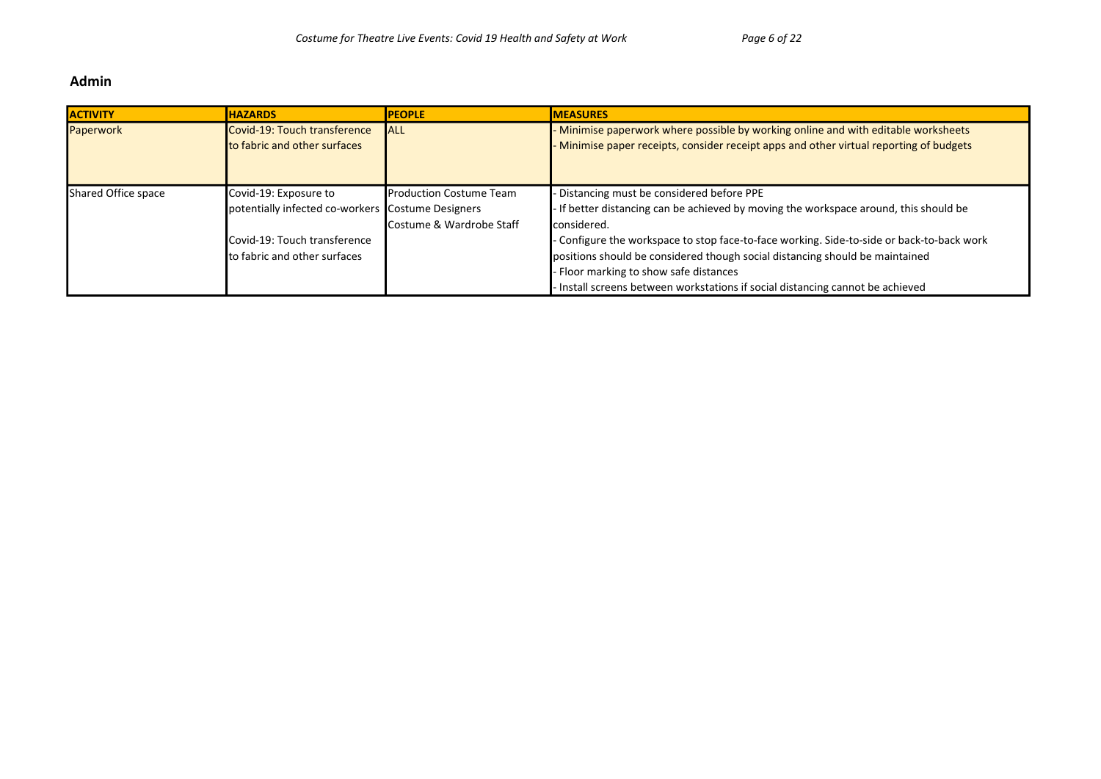#### Admin

| <b>ACTIVITY</b>     | <b>HAZARDS</b>                                    | <b>PEOPLE</b>                    | <b>MEASURES</b>                                                                           |
|---------------------|---------------------------------------------------|----------------------------------|-------------------------------------------------------------------------------------------|
| Paperwork           | Covid-19: Touch transference                      | <b>IALL</b>                      | Minimise paperwork where possible by working online and with editable worksheets          |
|                     | <b>Ito fabric and other surfaces</b>              |                                  | Minimise paper receipts, consider receipt apps and other virtual reporting of budgets     |
|                     |                                                   |                                  |                                                                                           |
|                     |                                                   |                                  |                                                                                           |
| Shared Office space | Covid-19: Exposure to                             | <b>I</b> Production Costume Team | Distancing must be considered before PPE                                                  |
|                     | potentially infected co-workers Costume Designers |                                  | - If better distancing can be achieved by moving the workspace around, this should be     |
|                     |                                                   | Costume & Wardrobe Staff         | considered.                                                                               |
|                     | Covid-19: Touch transference                      |                                  | - Configure the workspace to stop face-to-face working. Side-to-side or back-to-back work |
|                     | to fabric and other surfaces                      |                                  | positions should be considered though social distancing should be maintained              |
|                     |                                                   |                                  | Floor marking to show safe distances                                                      |
|                     |                                                   |                                  | Install screens between workstations if social distancing cannot be achieved              |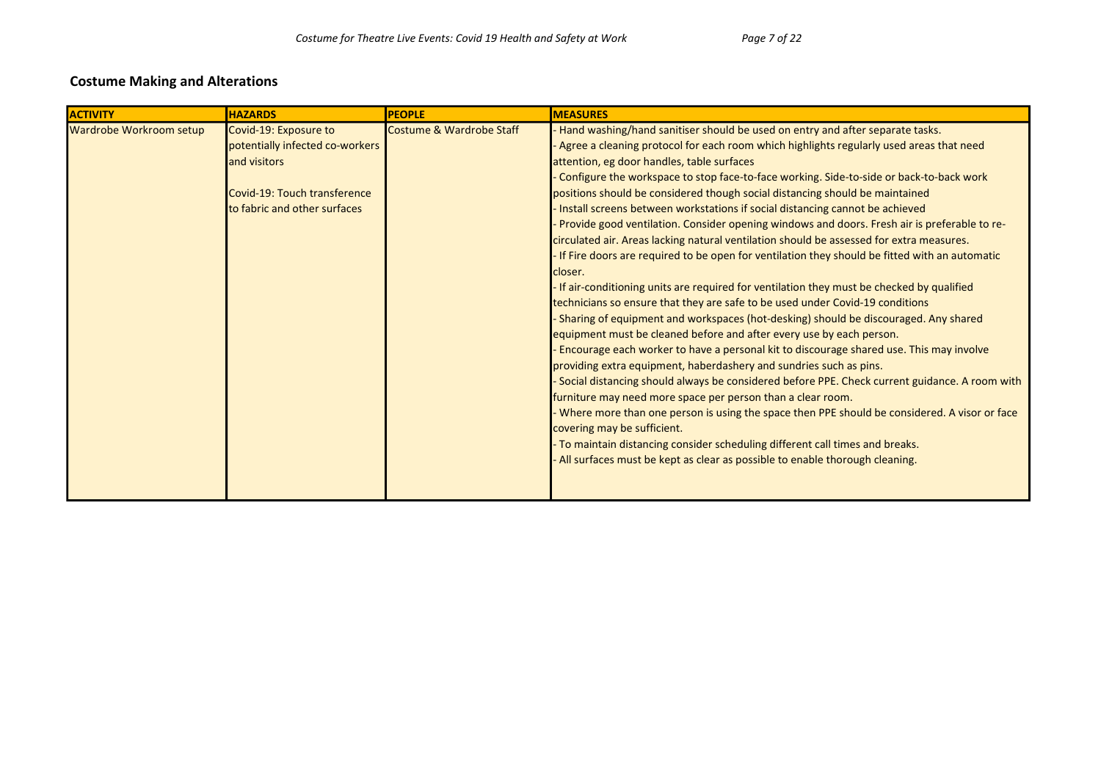#### Costume Making and Alterations

| <b>ACTIVITY</b>         | <b>HAZARDS</b>                                                                                                                           | <b>PEOPLE</b>            | <b>MEASURES</b>                                                                                                                                                                                                                                                                                                                                                                                                                                                                                                                                                                                                                                                                                                                                                                                                                                                                                                                                                                                                                                                                                                                                                                                                                                                                                                                                                                                                                                                                                                                                                                                                                                                                                                                                                     |
|-------------------------|------------------------------------------------------------------------------------------------------------------------------------------|--------------------------|---------------------------------------------------------------------------------------------------------------------------------------------------------------------------------------------------------------------------------------------------------------------------------------------------------------------------------------------------------------------------------------------------------------------------------------------------------------------------------------------------------------------------------------------------------------------------------------------------------------------------------------------------------------------------------------------------------------------------------------------------------------------------------------------------------------------------------------------------------------------------------------------------------------------------------------------------------------------------------------------------------------------------------------------------------------------------------------------------------------------------------------------------------------------------------------------------------------------------------------------------------------------------------------------------------------------------------------------------------------------------------------------------------------------------------------------------------------------------------------------------------------------------------------------------------------------------------------------------------------------------------------------------------------------------------------------------------------------------------------------------------------------|
| Wardrobe Workroom setup | Covid-19: Exposure to<br>potentially infected co-workers<br>and visitors<br>Covid-19: Touch transference<br>to fabric and other surfaces | Costume & Wardrobe Staff | Hand washing/hand sanitiser should be used on entry and after separate tasks.<br>Agree a cleaning protocol for each room which highlights regularly used areas that need<br>attention, eg door handles, table surfaces<br>Configure the workspace to stop face-to-face working. Side-to-side or back-to-back work<br>positions should be considered though social distancing should be maintained<br>Install screens between workstations if social distancing cannot be achieved<br>Provide good ventilation. Consider opening windows and doors. Fresh air is preferable to re-<br>circulated air. Areas lacking natural ventilation should be assessed for extra measures.<br>If Fire doors are required to be open for ventilation they should be fitted with an automatic<br>closer.<br>If air-conditioning units are required for ventilation they must be checked by qualified<br>technicians so ensure that they are safe to be used under Covid-19 conditions<br>Sharing of equipment and workspaces (hot-desking) should be discouraged. Any shared<br>equipment must be cleaned before and after every use by each person.<br>Encourage each worker to have a personal kit to discourage shared use. This may involve<br>providing extra equipment, haberdashery and sundries such as pins.<br>Social distancing should always be considered before PPE. Check current guidance. A room with<br>furniture may need more space per person than a clear room.<br>Where more than one person is using the space then PPE should be considered. A visor or face<br>covering may be sufficient.<br>To maintain distancing consider scheduling different call times and breaks.<br>All surfaces must be kept as clear as possible to enable thorough cleaning. |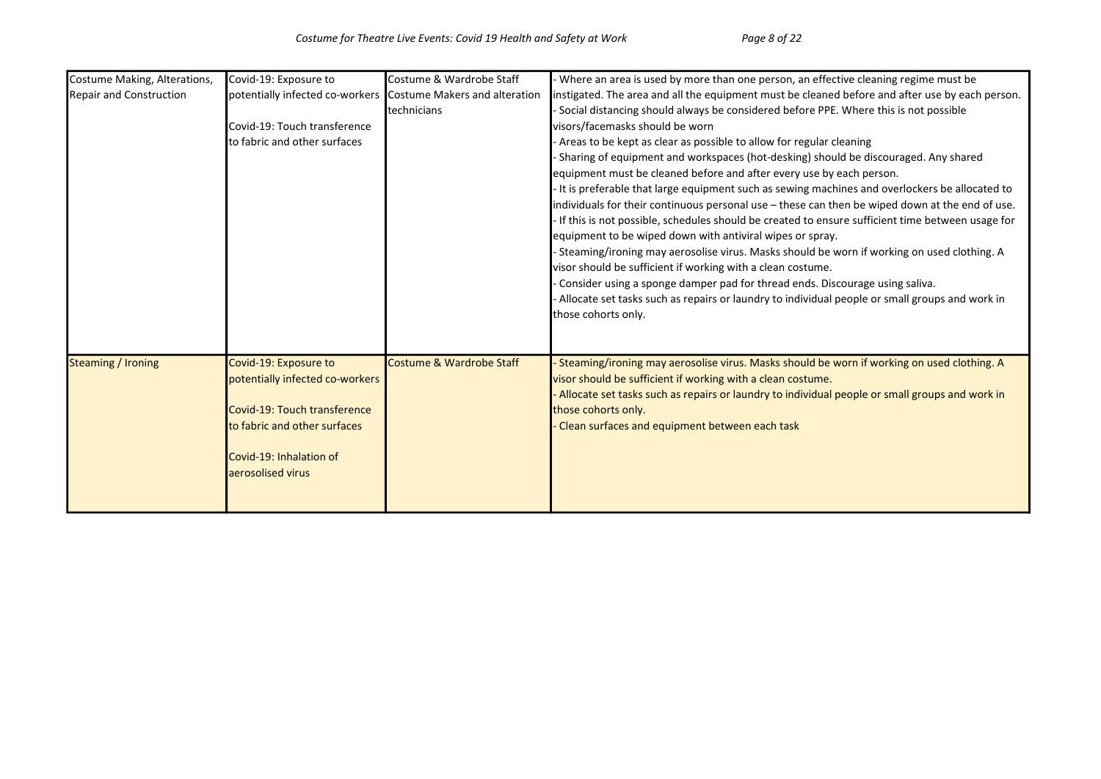| Costume Making, Alterations, | Covid-19: Exposure to                                         | Costume & Wardrobe Staff | Where an area is used by more than one person, an effective cleaning regime must be              |
|------------------------------|---------------------------------------------------------------|--------------------------|--------------------------------------------------------------------------------------------------|
| Repair and Construction      | potentially infected co-workers Costume Makers and alteration |                          | instigated. The area and all the equipment must be cleaned before and after use by each person.  |
|                              |                                                               | technicians              | Social distancing should always be considered before PPE. Where this is not possible             |
|                              | Covid-19: Touch transference                                  |                          | visors/facemasks should be worn                                                                  |
|                              | to fabric and other surfaces                                  |                          | Areas to be kept as clear as possible to allow for regular cleaning                              |
|                              |                                                               |                          | Sharing of equipment and workspaces (hot-desking) should be discouraged. Any shared              |
|                              |                                                               |                          | equipment must be cleaned before and after every use by each person.                             |
|                              |                                                               |                          | It is preferable that large equipment such as sewing machines and overlockers be allocated to    |
|                              |                                                               |                          | individuals for their continuous personal use - these can then be wiped down at the end of use.  |
|                              |                                                               |                          | If this is not possible, schedules should be created to ensure sufficient time between usage for |
|                              |                                                               |                          | equipment to be wiped down with antiviral wipes or spray.                                        |
|                              |                                                               |                          | - Steaming/ironing may aerosolise virus. Masks should be worn if working on used clothing. A     |
|                              |                                                               |                          | visor should be sufficient if working with a clean costume.                                      |
|                              |                                                               |                          | Consider using a sponge damper pad for thread ends. Discourage using saliva.                     |
|                              |                                                               |                          | Allocate set tasks such as repairs or laundry to individual people or small groups and work in   |
|                              |                                                               |                          | those cohorts only.                                                                              |
|                              |                                                               |                          |                                                                                                  |
|                              |                                                               |                          |                                                                                                  |
| Steaming / Ironing           | Covid-19: Exposure to                                         | Costume & Wardrobe Staff | - Steaming/ironing may aerosolise virus. Masks should be worn if working on used clothing. A     |
|                              | potentially infected co-workers                               |                          | visor should be sufficient if working with a clean costume.                                      |
|                              |                                                               |                          | Allocate set tasks such as repairs or laundry to individual people or small groups and work in   |
|                              | Covid-19: Touch transference                                  |                          | those cohorts only.                                                                              |
|                              | to fabric and other surfaces                                  |                          | Clean surfaces and equipment between each task                                                   |
|                              |                                                               |                          |                                                                                                  |
|                              | Covid-19: Inhalation of                                       |                          |                                                                                                  |
|                              | aerosolised virus                                             |                          |                                                                                                  |
|                              |                                                               |                          |                                                                                                  |
|                              |                                                               |                          |                                                                                                  |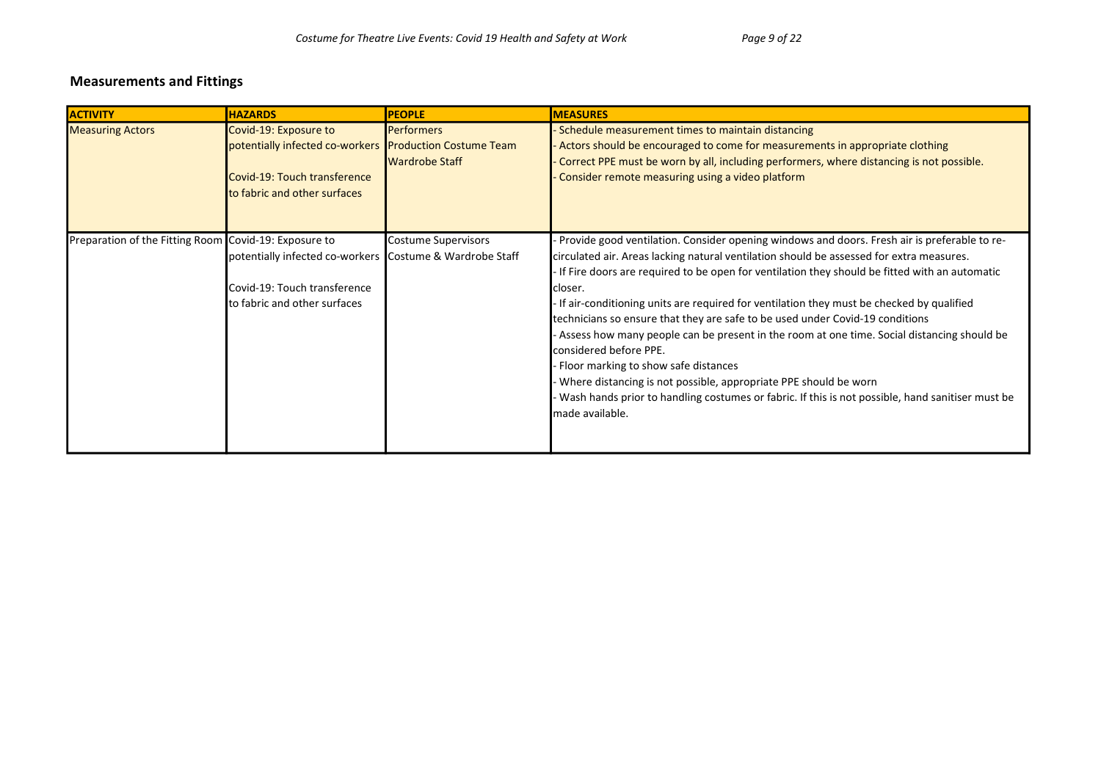| <b>ACTIVITY</b>                                       | <b>HAZARDS</b>                                                                                                                                   | <b>PEOPLE</b>                       | <b>MEASURES</b>                                                                                                                                                                                                                                                                                                                                                                                                                                                                                                                                                                                                                                                                                                                                                                                                                              |
|-------------------------------------------------------|--------------------------------------------------------------------------------------------------------------------------------------------------|-------------------------------------|----------------------------------------------------------------------------------------------------------------------------------------------------------------------------------------------------------------------------------------------------------------------------------------------------------------------------------------------------------------------------------------------------------------------------------------------------------------------------------------------------------------------------------------------------------------------------------------------------------------------------------------------------------------------------------------------------------------------------------------------------------------------------------------------------------------------------------------------|
| <b>Measuring Actors</b>                               | Covid-19: Exposure to<br>potentially infected co-workers Production Costume Team<br>Covid-19: Touch transference<br>to fabric and other surfaces | <b>Performers</b><br>Wardrobe Staff | Schedule measurement times to maintain distancing<br>Actors should be encouraged to come for measurements in appropriate clothing<br>Correct PPE must be worn by all, including performers, where distancing is not possible.<br>Consider remote measuring using a video platform                                                                                                                                                                                                                                                                                                                                                                                                                                                                                                                                                            |
| Preparation of the Fitting Room Covid-19: Exposure to | potentially infected co-workers Costume & Wardrobe Staff<br>Covid-19: Touch transference<br>to fabric and other surfaces                         | Costume Supervisors                 | Provide good ventilation. Consider opening windows and doors. Fresh air is preferable to re-<br>circulated air. Areas lacking natural ventilation should be assessed for extra measures.<br>If Fire doors are required to be open for ventilation they should be fitted with an automatic<br>closer.<br>If air-conditioning units are required for ventilation they must be checked by qualified<br>technicians so ensure that they are safe to be used under Covid-19 conditions<br>Assess how many people can be present in the room at one time. Social distancing should be<br>considered before PPE.<br>Floor marking to show safe distances<br>Where distancing is not possible, appropriate PPE should be worn<br>Wash hands prior to handling costumes or fabric. If this is not possible, hand sanitiser must be<br>made available. |

#### Measurements and Fittings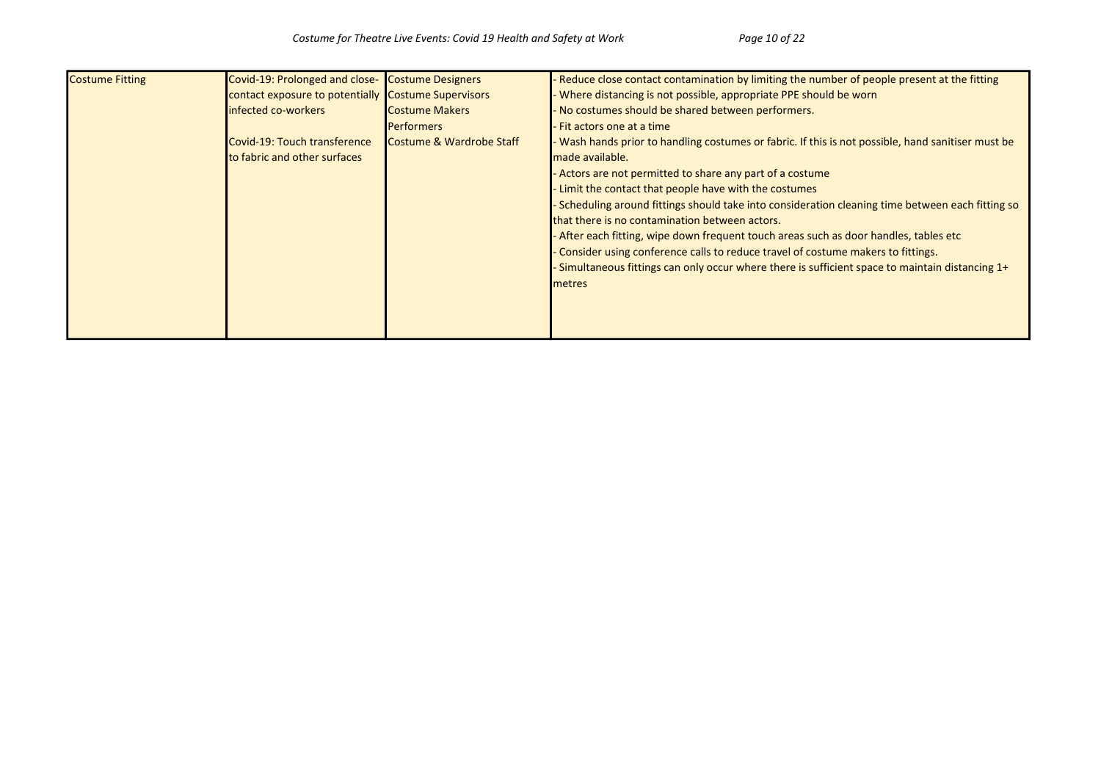| <b>Costume Fitting</b> | Covid-19: Prolonged and close- Costume Designers    |                                     | Reduce close contact contamination by limiting the number of people present at the fitting       |
|------------------------|-----------------------------------------------------|-------------------------------------|--------------------------------------------------------------------------------------------------|
|                        | contact exposure to potentially Costume Supervisors |                                     | Where distancing is not possible, appropriate PPE should be worn                                 |
|                        | infected co-workers                                 | <b>Costume Makers</b>               | No costumes should be shared between performers.                                                 |
|                        |                                                     | <b>Performers</b>                   | Fit actors one at a time                                                                         |
|                        | Covid-19: Touch transference                        | <b>Costume &amp; Wardrobe Staff</b> | Wash hands prior to handling costumes or fabric. If this is not possible, hand sanitiser must be |
|                        | to fabric and other surfaces                        |                                     | made available.                                                                                  |
|                        |                                                     |                                     | Actors are not permitted to share any part of a costume                                          |
|                        |                                                     |                                     | Limit the contact that people have with the costumes                                             |
|                        |                                                     |                                     | Scheduling around fittings should take into consideration cleaning time between each fitting so  |
|                        |                                                     |                                     | that there is no contamination between actors.                                                   |
|                        |                                                     |                                     | - After each fitting, wipe down frequent touch areas such as door handles, tables etc            |
|                        |                                                     |                                     | Consider using conference calls to reduce travel of costume makers to fittings.                  |
|                        |                                                     |                                     | Simultaneous fittings can only occur where there is sufficient space to maintain distancing 1+   |
|                        |                                                     |                                     | metres                                                                                           |
|                        |                                                     |                                     |                                                                                                  |
|                        |                                                     |                                     |                                                                                                  |
|                        |                                                     |                                     |                                                                                                  |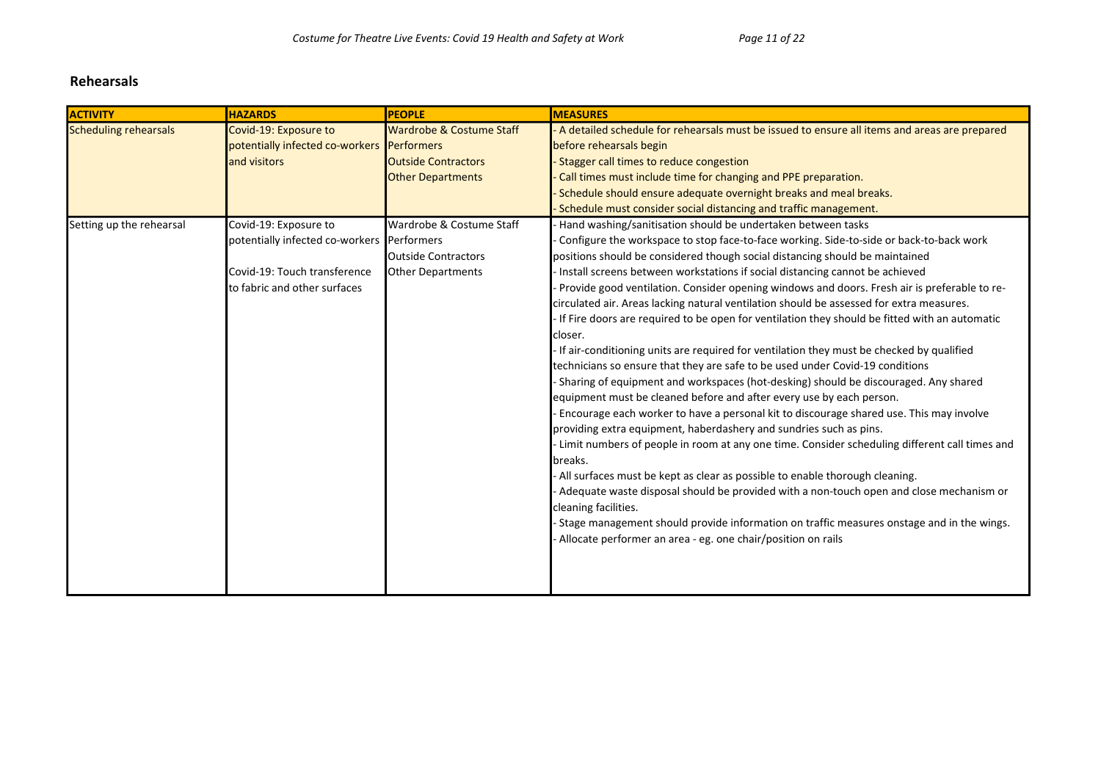#### Rehearsals

| <b>ACTIVITY</b>          | <b>HAZARDS</b>                             | <b>PEOPLE</b>              | <b>MEASURES</b>                                                                               |
|--------------------------|--------------------------------------------|----------------------------|-----------------------------------------------------------------------------------------------|
| Scheduling rehearsals    | Covid-19: Exposure to                      | Wardrobe & Costume Staff   | A detailed schedule for rehearsals must be issued to ensure all items and areas are prepared  |
|                          | potentially infected co-workers Performers |                            | before rehearsals begin                                                                       |
|                          | and visitors                               | <b>Outside Contractors</b> | Stagger call times to reduce congestion                                                       |
|                          |                                            | <b>Other Departments</b>   | Call times must include time for changing and PPE preparation.                                |
|                          |                                            |                            | Schedule should ensure adequate overnight breaks and meal breaks.                             |
|                          |                                            |                            | Schedule must consider social distancing and traffic management.                              |
| Setting up the rehearsal | Covid-19: Exposure to                      | Wardrobe & Costume Staff   | Hand washing/sanitisation should be undertaken between tasks                                  |
|                          | potentially infected co-workers Performers |                            | Configure the workspace to stop face-to-face working. Side-to-side or back-to-back work       |
|                          |                                            | <b>Outside Contractors</b> | positions should be considered though social distancing should be maintained                  |
|                          | Covid-19: Touch transference               | <b>Other Departments</b>   | Install screens between workstations if social distancing cannot be achieved                  |
|                          | to fabric and other surfaces               |                            | Provide good ventilation. Consider opening windows and doors. Fresh air is preferable to re-  |
|                          |                                            |                            | circulated air. Areas lacking natural ventilation should be assessed for extra measures.      |
|                          |                                            |                            | If Fire doors are required to be open for ventilation they should be fitted with an automatic |
|                          |                                            |                            | closer.                                                                                       |
|                          |                                            |                            | If air-conditioning units are required for ventilation they must be checked by qualified      |
|                          |                                            |                            | technicians so ensure that they are safe to be used under Covid-19 conditions                 |
|                          |                                            |                            | Sharing of equipment and workspaces (hot-desking) should be discouraged. Any shared           |
|                          |                                            |                            | equipment must be cleaned before and after every use by each person.                          |
|                          |                                            |                            | Encourage each worker to have a personal kit to discourage shared use. This may involve       |
|                          |                                            |                            | providing extra equipment, haberdashery and sundries such as pins.                            |
|                          |                                            |                            | Limit numbers of people in room at any one time. Consider scheduling different call times and |
|                          |                                            |                            | breaks.                                                                                       |
|                          |                                            |                            | All surfaces must be kept as clear as possible to enable thorough cleaning.                   |
|                          |                                            |                            | Adequate waste disposal should be provided with a non-touch open and close mechanism or       |
|                          |                                            |                            | cleaning facilities.                                                                          |
|                          |                                            |                            | Stage management should provide information on traffic measures onstage and in the wings.     |
|                          |                                            |                            | Allocate performer an area - eg. one chair/position on rails                                  |
|                          |                                            |                            |                                                                                               |
|                          |                                            |                            |                                                                                               |
|                          |                                            |                            |                                                                                               |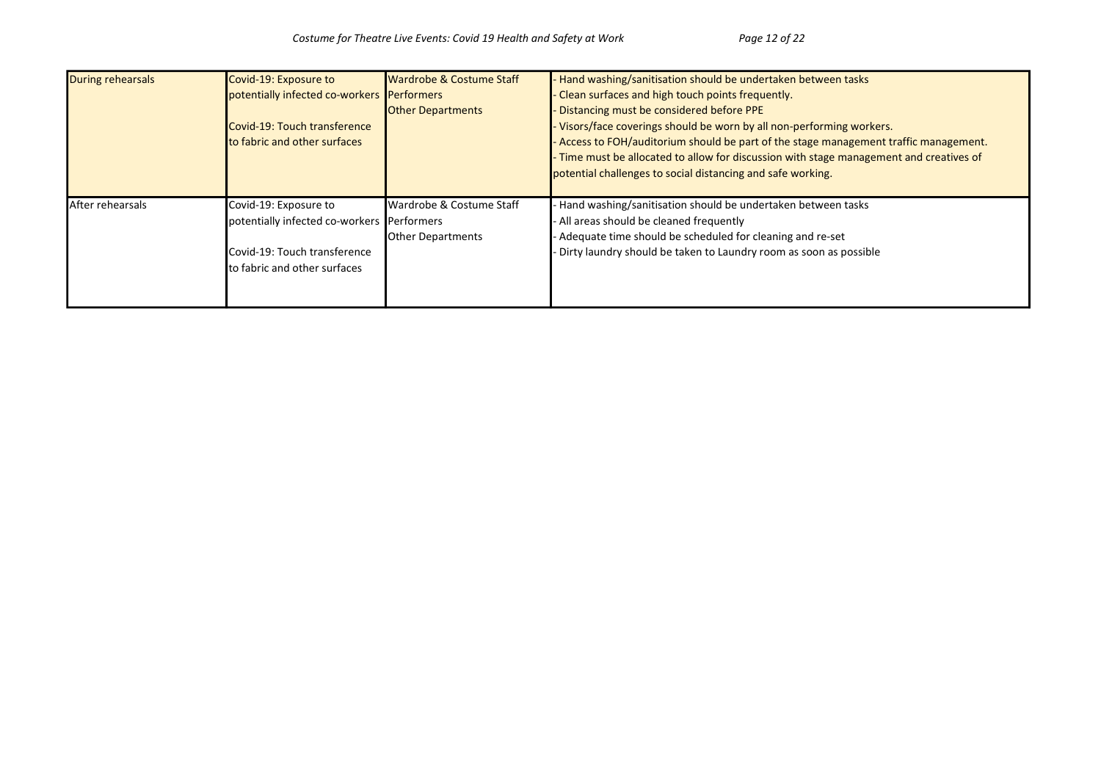| During rehearsals       | Covid-19: Exposure to                      | <b>Wardrobe &amp; Costume Staff</b> | Hand washing/sanitisation should be undertaken between tasks                          |
|-------------------------|--------------------------------------------|-------------------------------------|---------------------------------------------------------------------------------------|
|                         | potentially infected co-workers Performers |                                     | Clean surfaces and high touch points frequently.                                      |
|                         |                                            | <b>Other Departments</b>            | Distancing must be considered before PPE                                              |
|                         | Covid-19: Touch transference               |                                     | Visors/face coverings should be worn by all non-performing workers.                   |
|                         | to fabric and other surfaces               |                                     | Access to FOH/auditorium should be part of the stage management traffic management.   |
|                         |                                            |                                     | Time must be allocated to allow for discussion with stage management and creatives of |
|                         |                                            |                                     | potential challenges to social distancing and safe working.                           |
|                         |                                            |                                     |                                                                                       |
| <b>After rehearsals</b> | Covid-19: Exposure to                      | <b>I</b> Wardrobe & Costume Staff   | Hand washing/sanitisation should be undertaken between tasks                          |
|                         | potentially infected co-workers Performers |                                     | All areas should be cleaned frequently                                                |
|                         |                                            | <b>Other Departments</b>            | Adequate time should be scheduled for cleaning and re-set                             |
|                         | Covid-19: Touch transference               |                                     | Dirty laundry should be taken to Laundry room as soon as possible                     |
|                         | to fabric and other surfaces               |                                     |                                                                                       |
|                         |                                            |                                     |                                                                                       |
|                         |                                            |                                     |                                                                                       |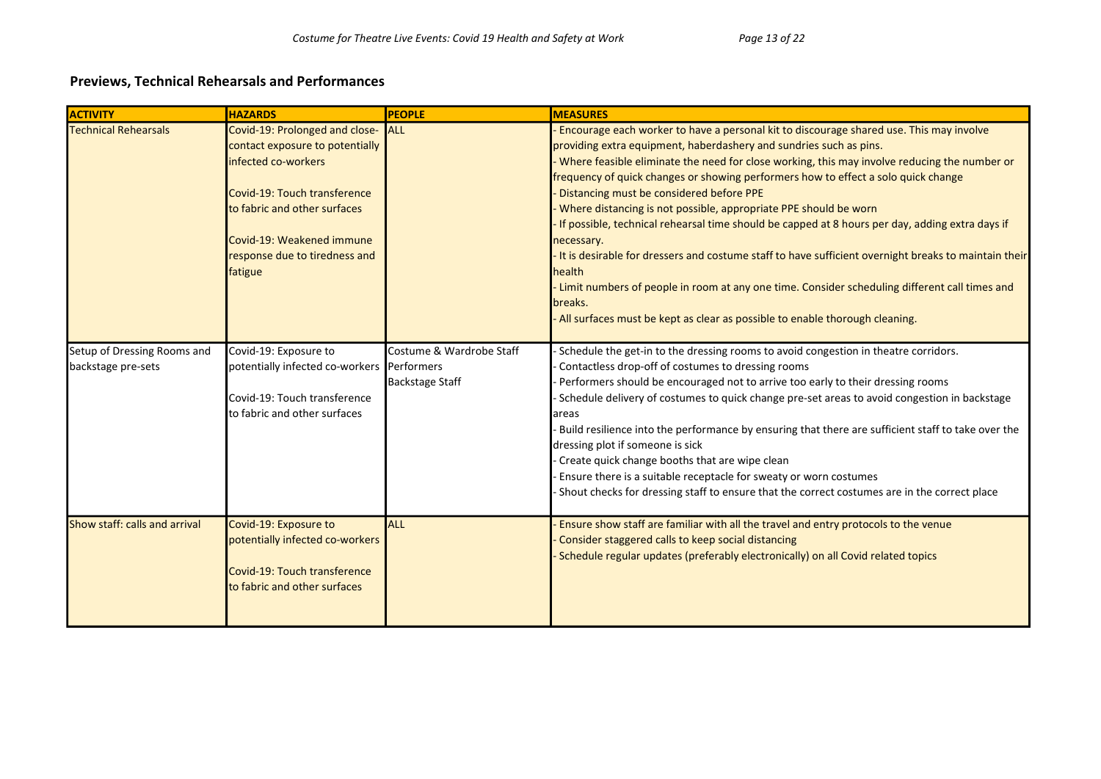## Previews, Technical Rehearsals and Performances

| <b>ACTIVITY</b>                                   | <b>HAZARDS</b>                                                                                                                                                                                                                    | <b>PEOPLE</b>                                      | <b>MEASURES</b>                                                                                                                                                                                                                                                                                                                                                                                                                                                                                                                                                                                                                                                                                                                                                                                                                                                                                     |
|---------------------------------------------------|-----------------------------------------------------------------------------------------------------------------------------------------------------------------------------------------------------------------------------------|----------------------------------------------------|-----------------------------------------------------------------------------------------------------------------------------------------------------------------------------------------------------------------------------------------------------------------------------------------------------------------------------------------------------------------------------------------------------------------------------------------------------------------------------------------------------------------------------------------------------------------------------------------------------------------------------------------------------------------------------------------------------------------------------------------------------------------------------------------------------------------------------------------------------------------------------------------------------|
| <b>Technical Rehearsals</b>                       | Covid-19: Prolonged and close-<br>contact exposure to potentially<br>infected co-workers<br>Covid-19: Touch transference<br>to fabric and other surfaces<br>Covid-19: Weakened immune<br>response due to tiredness and<br>fatigue | ALL                                                | Encourage each worker to have a personal kit to discourage shared use. This may involve<br>providing extra equipment, haberdashery and sundries such as pins.<br>Where feasible eliminate the need for close working, this may involve reducing the number or<br>frequency of quick changes or showing performers how to effect a solo quick change<br>Distancing must be considered before PPE<br>Where distancing is not possible, appropriate PPE should be worn<br>If possible, technical rehearsal time should be capped at 8 hours per day, adding extra days if<br>necessary.<br>It is desirable for dressers and costume staff to have sufficient overnight breaks to maintain their<br>health<br>- Limit numbers of people in room at any one time. Consider scheduling different call times and<br>breaks.<br>All surfaces must be kept as clear as possible to enable thorough cleaning. |
| Setup of Dressing Rooms and<br>backstage pre-sets | Covid-19: Exposure to<br>potentially infected co-workers Performers<br>Covid-19: Touch transference<br>to fabric and other surfaces                                                                                               | Costume & Wardrobe Staff<br><b>Backstage Staff</b> | Schedule the get-in to the dressing rooms to avoid congestion in theatre corridors.<br>Contactless drop-off of costumes to dressing rooms<br>Performers should be encouraged not to arrive too early to their dressing rooms<br>Schedule delivery of costumes to quick change pre-set areas to avoid congestion in backstage<br>areas<br>Build resilience into the performance by ensuring that there are sufficient staff to take over the<br>dressing plot if someone is sick<br>Create quick change booths that are wipe clean<br>Ensure there is a suitable receptacle for sweaty or worn costumes<br>Shout checks for dressing staff to ensure that the correct costumes are in the correct place                                                                                                                                                                                              |
| Show staff: calls and arrival                     | Covid-19: Exposure to<br>potentially infected co-workers<br>Covid-19: Touch transference<br>to fabric and other surfaces                                                                                                          | <b>ALL</b>                                         | Ensure show staff are familiar with all the travel and entry protocols to the venue<br>Consider staggered calls to keep social distancing<br>Schedule regular updates (preferably electronically) on all Covid related topics                                                                                                                                                                                                                                                                                                                                                                                                                                                                                                                                                                                                                                                                       |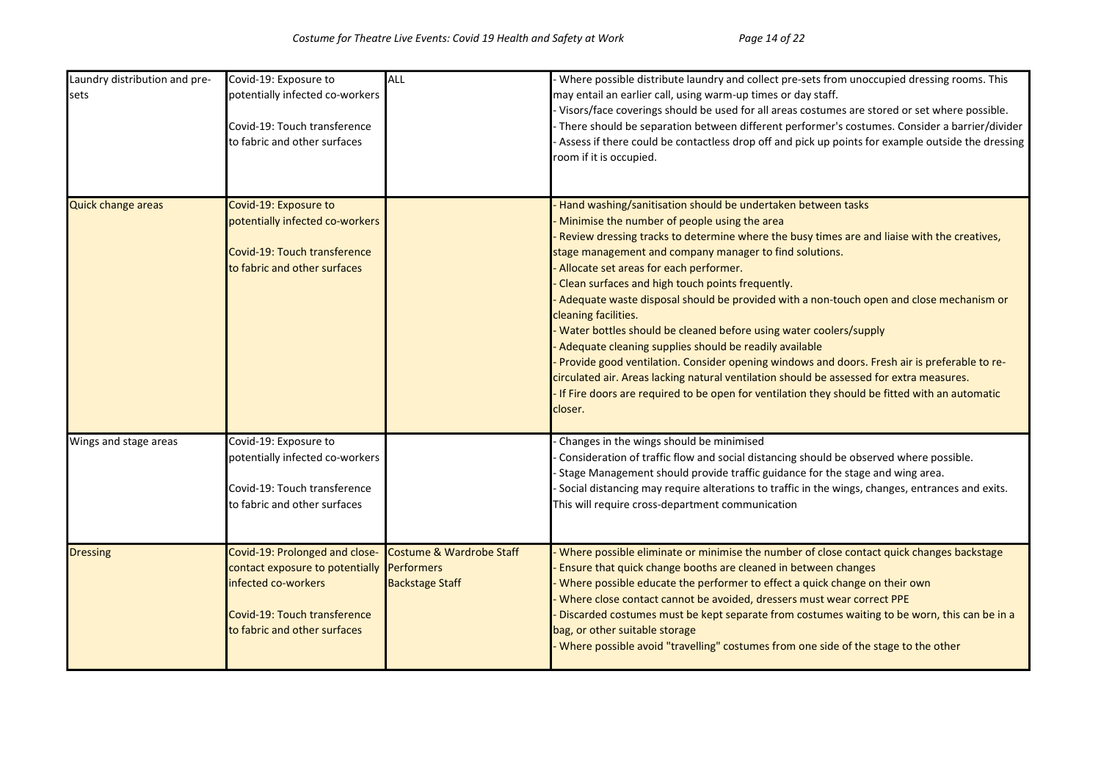| Laundry distribution and pre-<br>sets | Covid-19: Exposure to<br>potentially infected co-workers<br>Covid-19: Touch transference<br>to fabric and other surfaces                                            | ALL                                                | Where possible distribute laundry and collect pre-sets from unoccupied dressing rooms. This<br>may entail an earlier call, using warm-up times or day staff.<br>Visors/face coverings should be used for all areas costumes are stored or set where possible.<br>There should be separation between different performer's costumes. Consider a barrier/divider<br>Assess if there could be contactless drop off and pick up points for example outside the dressing<br>room if it is occupied.                                                                                                                                                                                                                                                                                                                                                                                                                                 |
|---------------------------------------|---------------------------------------------------------------------------------------------------------------------------------------------------------------------|----------------------------------------------------|--------------------------------------------------------------------------------------------------------------------------------------------------------------------------------------------------------------------------------------------------------------------------------------------------------------------------------------------------------------------------------------------------------------------------------------------------------------------------------------------------------------------------------------------------------------------------------------------------------------------------------------------------------------------------------------------------------------------------------------------------------------------------------------------------------------------------------------------------------------------------------------------------------------------------------|
| Quick change areas                    | Covid-19: Exposure to<br>potentially infected co-workers<br>Covid-19: Touch transference<br>to fabric and other surfaces                                            |                                                    | Hand washing/sanitisation should be undertaken between tasks<br>Minimise the number of people using the area<br>Review dressing tracks to determine where the busy times are and liaise with the creatives,<br>stage management and company manager to find solutions.<br>Allocate set areas for each performer.<br>Clean surfaces and high touch points frequently.<br>Adequate waste disposal should be provided with a non-touch open and close mechanism or<br>cleaning facilities.<br>Water bottles should be cleaned before using water coolers/supply<br>Adequate cleaning supplies should be readily available<br>Provide good ventilation. Consider opening windows and doors. Fresh air is preferable to re-<br>circulated air. Areas lacking natural ventilation should be assessed for extra measures.<br>If Fire doors are required to be open for ventilation they should be fitted with an automatic<br>closer. |
| Wings and stage areas                 | Covid-19: Exposure to<br>potentially infected co-workers<br>Covid-19: Touch transference<br>to fabric and other surfaces                                            |                                                    | Changes in the wings should be minimised<br>Consideration of traffic flow and social distancing should be observed where possible.<br>Stage Management should provide traffic guidance for the stage and wing area.<br>Social distancing may require alterations to traffic in the wings, changes, entrances and exits.<br>This will require cross-department communication                                                                                                                                                                                                                                                                                                                                                                                                                                                                                                                                                    |
| <b>Dressing</b>                       | Covid-19: Prolonged and close-<br>contact exposure to potentially Performers<br>infected co-workers<br>Covid-19: Touch transference<br>to fabric and other surfaces | Costume & Wardrobe Staff<br><b>Backstage Staff</b> | Where possible eliminate or minimise the number of close contact quick changes backstage<br>Ensure that quick change booths are cleaned in between changes<br>Where possible educate the performer to effect a quick change on their own<br>Where close contact cannot be avoided, dressers must wear correct PPE<br>Discarded costumes must be kept separate from costumes waiting to be worn, this can be in a<br>bag, or other suitable storage<br>Where possible avoid "travelling" costumes from one side of the stage to the other                                                                                                                                                                                                                                                                                                                                                                                       |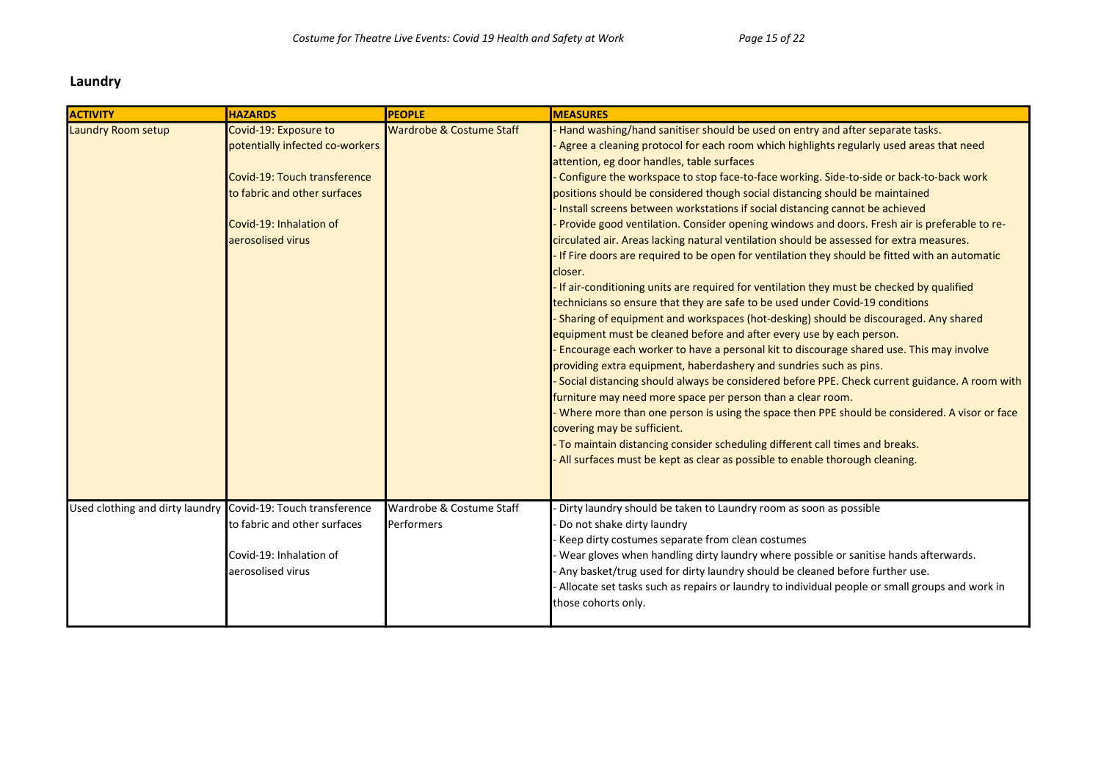#### Laundry

| <b>ACTIVITY</b>                                              | <b>HAZARDS</b>                                                                                                                                                           | <b>PEOPLE</b>                          | <b>MEASURES</b>                                                                                                                                                                                                                                                                                                                                                                                                                                                                                                                                                                                                                                                                                                                                                                                                                                                                                                                                                                                                                                                                                                                                                                                                                                                                                                                                                                                                                                                                                                                                                                                                                                                                                                                                                           |
|--------------------------------------------------------------|--------------------------------------------------------------------------------------------------------------------------------------------------------------------------|----------------------------------------|---------------------------------------------------------------------------------------------------------------------------------------------------------------------------------------------------------------------------------------------------------------------------------------------------------------------------------------------------------------------------------------------------------------------------------------------------------------------------------------------------------------------------------------------------------------------------------------------------------------------------------------------------------------------------------------------------------------------------------------------------------------------------------------------------------------------------------------------------------------------------------------------------------------------------------------------------------------------------------------------------------------------------------------------------------------------------------------------------------------------------------------------------------------------------------------------------------------------------------------------------------------------------------------------------------------------------------------------------------------------------------------------------------------------------------------------------------------------------------------------------------------------------------------------------------------------------------------------------------------------------------------------------------------------------------------------------------------------------------------------------------------------------|
| Laundry Room setup                                           | Covid-19: Exposure to<br>potentially infected co-workers<br>Covid-19: Touch transference<br>to fabric and other surfaces<br>Covid-19: Inhalation of<br>aerosolised virus | Wardrobe & Costume Staff               | Hand washing/hand sanitiser should be used on entry and after separate tasks.<br>Agree a cleaning protocol for each room which highlights regularly used areas that need<br>attention, eg door handles, table surfaces<br>Configure the workspace to stop face-to-face working. Side-to-side or back-to-back work<br>positions should be considered though social distancing should be maintained<br>Install screens between workstations if social distancing cannot be achieved<br>Provide good ventilation. Consider opening windows and doors. Fresh air is preferable to re-<br>circulated air. Areas lacking natural ventilation should be assessed for extra measures.<br>If Fire doors are required to be open for ventilation they should be fitted with an automatic<br>closer.<br>If air-conditioning units are required for ventilation they must be checked by qualified<br>technicians so ensure that they are safe to be used under Covid-19 conditions<br>- Sharing of equipment and workspaces (hot-desking) should be discouraged. Any shared<br>equipment must be cleaned before and after every use by each person.<br>Encourage each worker to have a personal kit to discourage shared use. This may involve<br>providing extra equipment, haberdashery and sundries such as pins.<br>- Social distancing should always be considered before PPE. Check current guidance. A room with<br>furniture may need more space per person than a clear room.<br>Where more than one person is using the space then PPE should be considered. A visor or face<br>covering may be sufficient.<br>- To maintain distancing consider scheduling different call times and breaks.<br>All surfaces must be kept as clear as possible to enable thorough cleaning. |
| Used clothing and dirty laundry Covid-19: Touch transference | to fabric and other surfaces<br>Covid-19: Inhalation of<br>aerosolised virus                                                                                             | Wardrobe & Costume Staff<br>Performers | Dirty laundry should be taken to Laundry room as soon as possible<br>Do not shake dirty laundry<br>Keep dirty costumes separate from clean costumes<br>Wear gloves when handling dirty laundry where possible or sanitise hands afterwards.<br>Any basket/trug used for dirty laundry should be cleaned before further use.<br>- Allocate set tasks such as repairs or laundry to individual people or small groups and work in<br>those cohorts only.                                                                                                                                                                                                                                                                                                                                                                                                                                                                                                                                                                                                                                                                                                                                                                                                                                                                                                                                                                                                                                                                                                                                                                                                                                                                                                                    |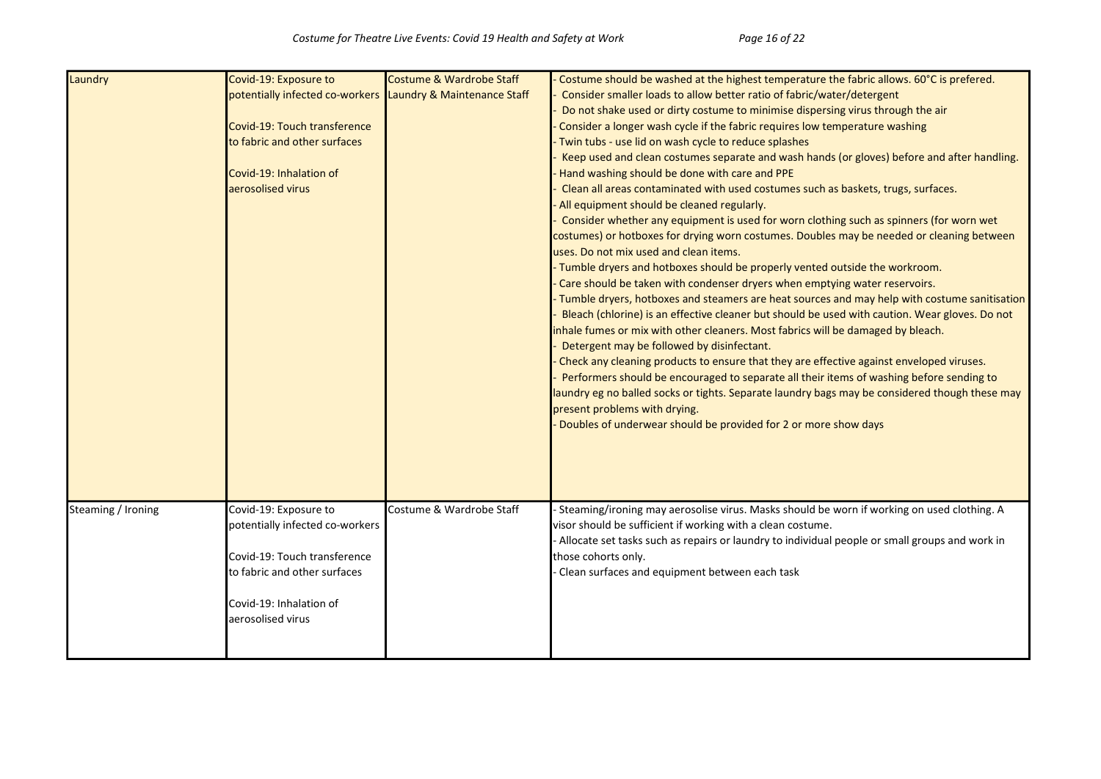| Laundry            | Covid-19: Exposure to           | Costume & Wardrobe Staff    | Costume should be washed at the highest temperature the fabric allows. 60°C is prefered.         |
|--------------------|---------------------------------|-----------------------------|--------------------------------------------------------------------------------------------------|
|                    | potentially infected co-workers | Laundry & Maintenance Staff | Consider smaller loads to allow better ratio of fabric/water/detergent                           |
|                    |                                 |                             | Do not shake used or dirty costume to minimise dispersing virus through the air                  |
|                    | Covid-19: Touch transference    |                             | Consider a longer wash cycle if the fabric requires low temperature washing                      |
|                    | to fabric and other surfaces    |                             | Twin tubs - use lid on wash cycle to reduce splashes                                             |
|                    |                                 |                             | Keep used and clean costumes separate and wash hands (or gloves) before and after handling.      |
|                    | Covid-19: Inhalation of         |                             | Hand washing should be done with care and PPE                                                    |
|                    | aerosolised virus               |                             | Clean all areas contaminated with used costumes such as baskets, trugs, surfaces.                |
|                    |                                 |                             | All equipment should be cleaned regularly.                                                       |
|                    |                                 |                             | Consider whether any equipment is used for worn clothing such as spinners (for worn wet          |
|                    |                                 |                             | costumes) or hotboxes for drying worn costumes. Doubles may be needed or cleaning between        |
|                    |                                 |                             | uses. Do not mix used and clean items.                                                           |
|                    |                                 |                             | Tumble dryers and hotboxes should be properly vented outside the workroom.                       |
|                    |                                 |                             | Care should be taken with condenser dryers when emptying water reservoirs.                       |
|                    |                                 |                             | Tumble dryers, hotboxes and steamers are heat sources and may help with costume sanitisation     |
|                    |                                 |                             | Bleach (chlorine) is an effective cleaner but should be used with caution. Wear gloves. Do not   |
|                    |                                 |                             | inhale fumes or mix with other cleaners. Most fabrics will be damaged by bleach.                 |
|                    |                                 |                             | Detergent may be followed by disinfectant.                                                       |
|                    |                                 |                             | Check any cleaning products to ensure that they are effective against enveloped viruses.         |
|                    |                                 |                             | Performers should be encouraged to separate all their items of washing before sending to         |
|                    |                                 |                             | laundry eg no balled socks or tights. Separate laundry bags may be considered though these may   |
|                    |                                 |                             | present problems with drying.                                                                    |
|                    |                                 |                             | Doubles of underwear should be provided for 2 or more show days                                  |
|                    |                                 |                             |                                                                                                  |
|                    |                                 |                             |                                                                                                  |
|                    |                                 |                             |                                                                                                  |
|                    |                                 |                             |                                                                                                  |
| Steaming / Ironing | Covid-19: Exposure to           | Costume & Wardrobe Staff    | Steaming/ironing may aerosolise virus. Masks should be worn if working on used clothing. A       |
|                    | potentially infected co-workers |                             | visor should be sufficient if working with a clean costume.                                      |
|                    |                                 |                             | - Allocate set tasks such as repairs or laundry to individual people or small groups and work in |
|                    | Covid-19: Touch transference    |                             | those cohorts only.                                                                              |
|                    | to fabric and other surfaces    |                             | Clean surfaces and equipment between each task                                                   |
|                    |                                 |                             |                                                                                                  |
|                    | Covid-19: Inhalation of         |                             |                                                                                                  |
|                    | aerosolised virus               |                             |                                                                                                  |
|                    |                                 |                             |                                                                                                  |
|                    |                                 |                             |                                                                                                  |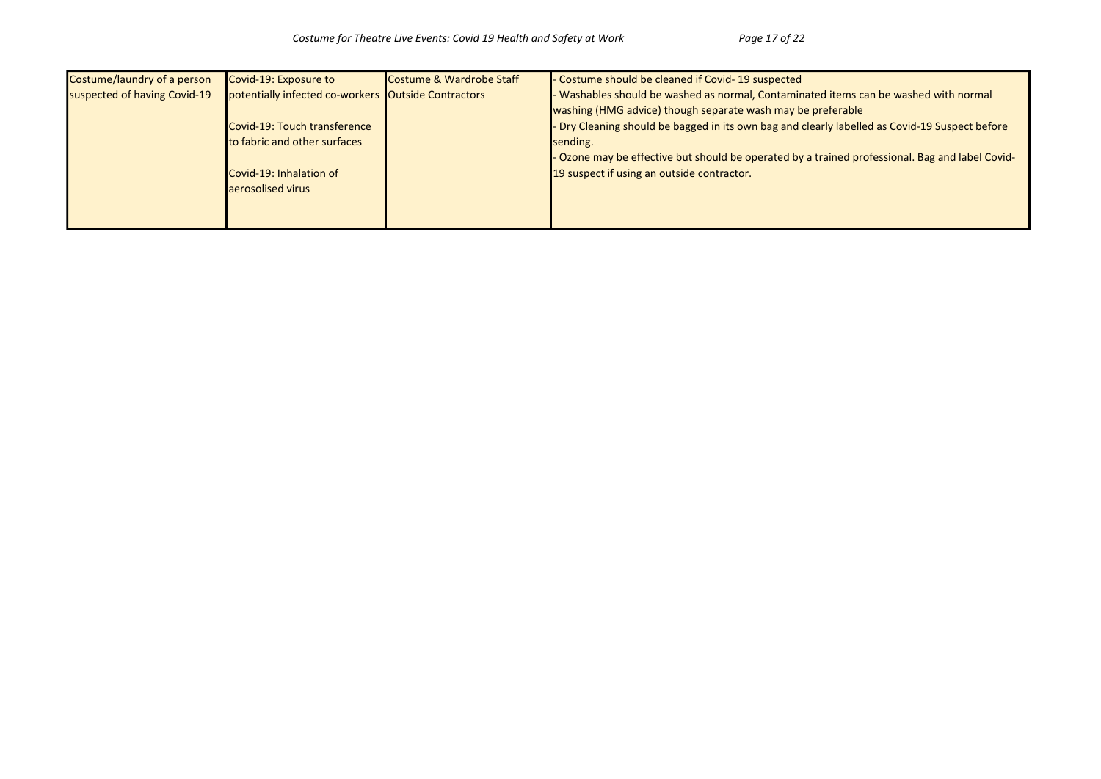| Costume/laundry of a person  | Covid-19: Exposure to                               | Costume & Wardrobe Staff | - Costume should be cleaned if Covid- 19 suspected                                              |
|------------------------------|-----------------------------------------------------|--------------------------|-------------------------------------------------------------------------------------------------|
| suspected of having Covid-19 | potentially infected co-workers Outside Contractors |                          | - Washables should be washed as normal, Contaminated items can be washed with normal            |
|                              |                                                     |                          | washing (HMG advice) though separate wash may be preferable                                     |
|                              | Covid-19: Touch transference                        |                          | - Dry Cleaning should be bagged in its own bag and clearly labelled as Covid-19 Suspect before  |
|                              | <b>Ito fabric and other surfaces</b>                |                          | sending.                                                                                        |
|                              |                                                     |                          | - Ozone may be effective but should be operated by a trained professional. Bag and label Covid- |
|                              | Covid-19: Inhalation of                             |                          | 19 suspect if using an outside contractor.                                                      |
|                              | laerosolised virus                                  |                          |                                                                                                 |
|                              |                                                     |                          |                                                                                                 |
|                              |                                                     |                          |                                                                                                 |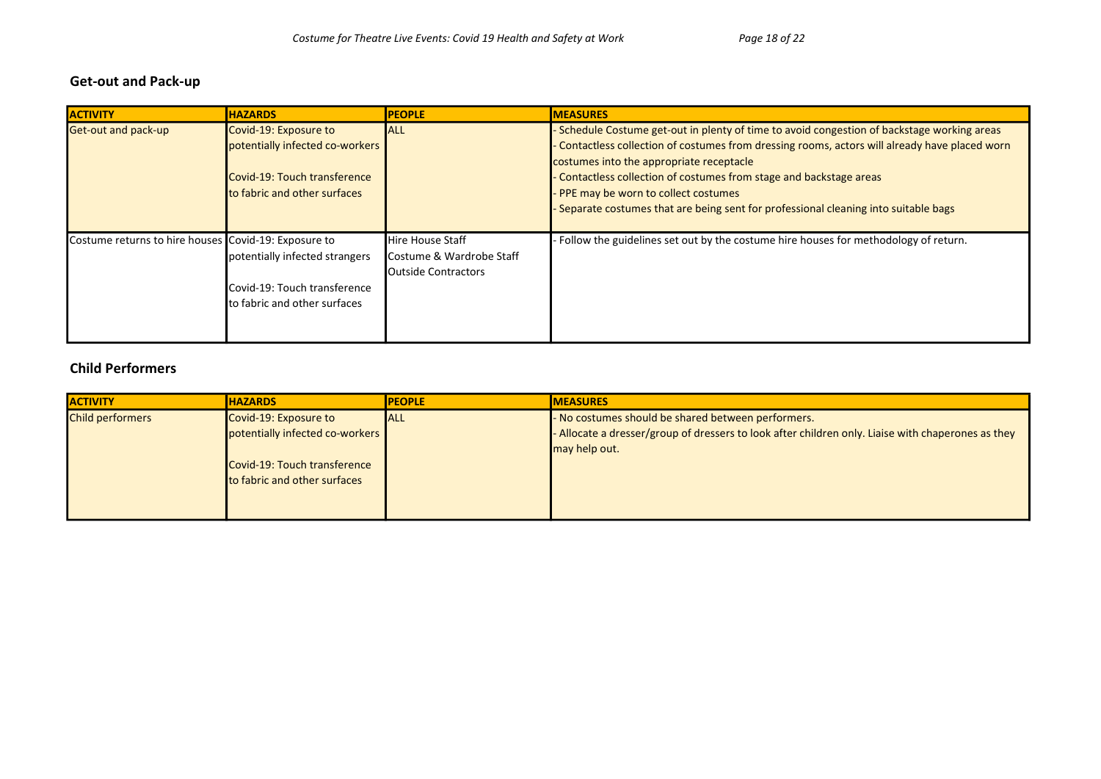#### Get-out and Pack-up

| <b>ACTIVITY</b>                                      | <b>HAZARDS</b>                       | <b>PEOPLE</b>                | <b>MEASURES</b>                                                                              |
|------------------------------------------------------|--------------------------------------|------------------------------|----------------------------------------------------------------------------------------------|
| Get-out and pack-up                                  | Covid-19: Exposure to                | <b>ALL</b>                   | Schedule Costume get-out in plenty of time to avoid congestion of backstage working areas    |
|                                                      | potentially infected co-workers      |                              | Contactless collection of costumes from dressing rooms, actors will already have placed worn |
|                                                      |                                      |                              | costumes into the appropriate receptacle                                                     |
|                                                      | Covid-19: Touch transference         |                              | Contactless collection of costumes from stage and backstage areas                            |
|                                                      | to fabric and other surfaces         |                              | PPE may be worn to collect costumes                                                          |
|                                                      |                                      |                              | Separate costumes that are being sent for professional cleaning into suitable bags           |
|                                                      |                                      |                              |                                                                                              |
| Costume returns to hire houses Covid-19: Exposure to |                                      | <b>Hire House Staff</b>      | Follow the guidelines set out by the costume hire houses for methodology of return.          |
|                                                      | potentially infected strangers       | Costume & Wardrobe Staff     |                                                                                              |
|                                                      |                                      | <b>I</b> Outside Contractors |                                                                                              |
|                                                      | Covid-19: Touch transference         |                              |                                                                                              |
|                                                      | <b>Ito fabric and other surfaces</b> |                              |                                                                                              |
|                                                      |                                      |                              |                                                                                              |
|                                                      |                                      |                              |                                                                                              |

## Child Performers

| <b>ACTIVITY</b>         | <b>HAZARDS</b>                       | <b>IPEOPLE</b> | <b>IMEASURES</b>                                                                                   |
|-------------------------|--------------------------------------|----------------|----------------------------------------------------------------------------------------------------|
| <b>Child performers</b> | Covid-19: Exposure to                | <b>ALL</b>     | - No costumes should be shared between performers.                                                 |
|                         | potentially infected co-workers      |                | - Allocate a dresser/group of dressers to look after children only. Liaise with chaperones as they |
|                         |                                      |                | may help out.                                                                                      |
|                         | Covid-19: Touch transference         |                |                                                                                                    |
|                         | <b>Ito fabric and other surfaces</b> |                |                                                                                                    |
|                         |                                      |                |                                                                                                    |
|                         |                                      |                |                                                                                                    |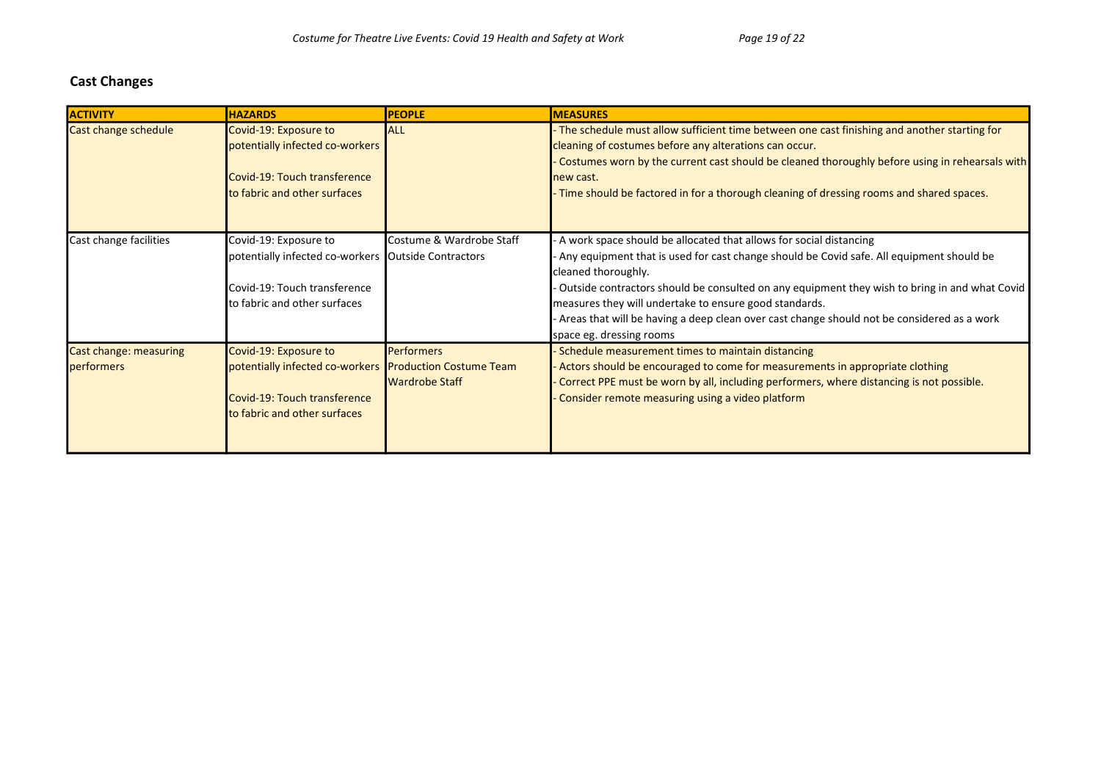#### Cast Changes

| <b>ACTIVITY</b>                      | <b>HAZARDS</b>                                                                                                                                   | <b>PEOPLE</b>                              | <b>MEASURES</b>                                                                                                                                                                                                                                                                                                                                                                                                                                                            |
|--------------------------------------|--------------------------------------------------------------------------------------------------------------------------------------------------|--------------------------------------------|----------------------------------------------------------------------------------------------------------------------------------------------------------------------------------------------------------------------------------------------------------------------------------------------------------------------------------------------------------------------------------------------------------------------------------------------------------------------------|
| Cast change schedule                 | Covid-19: Exposure to<br>potentially infected co-workers<br>Covid-19: Touch transference<br>to fabric and other surfaces                         | <b>ALL</b>                                 | The schedule must allow sufficient time between one cast finishing and another starting for<br>cleaning of costumes before any alterations can occur.<br>Costumes worn by the current cast should be cleaned thoroughly before using in rehearsals with<br>new cast.<br>- Time should be factored in for a thorough cleaning of dressing rooms and shared spaces.                                                                                                          |
| Cast change facilities               | Covid-19: Exposure to<br>potentially infected co-workers Outside Contractors<br>Covid-19: Touch transference<br>to fabric and other surfaces     | Costume & Wardrobe Staff                   | A work space should be allocated that allows for social distancing<br>Any equipment that is used for cast change should be Covid safe. All equipment should be<br>cleaned thoroughly.<br>Outside contractors should be consulted on any equipment they wish to bring in and what Covid<br>measures they will undertake to ensure good standards.<br>Areas that will be having a deep clean over cast change should not be considered as a work<br>space eg. dressing rooms |
| Cast change: measuring<br>performers | Covid-19: Exposure to<br>potentially infected co-workers Production Costume Team<br>Covid-19: Touch transference<br>to fabric and other surfaces | <b>Performers</b><br><b>Wardrobe Staff</b> | Schedule measurement times to maintain distancing<br>Actors should be encouraged to come for measurements in appropriate clothing<br>Correct PPE must be worn by all, including performers, where distancing is not possible.<br>Consider remote measuring using a video platform                                                                                                                                                                                          |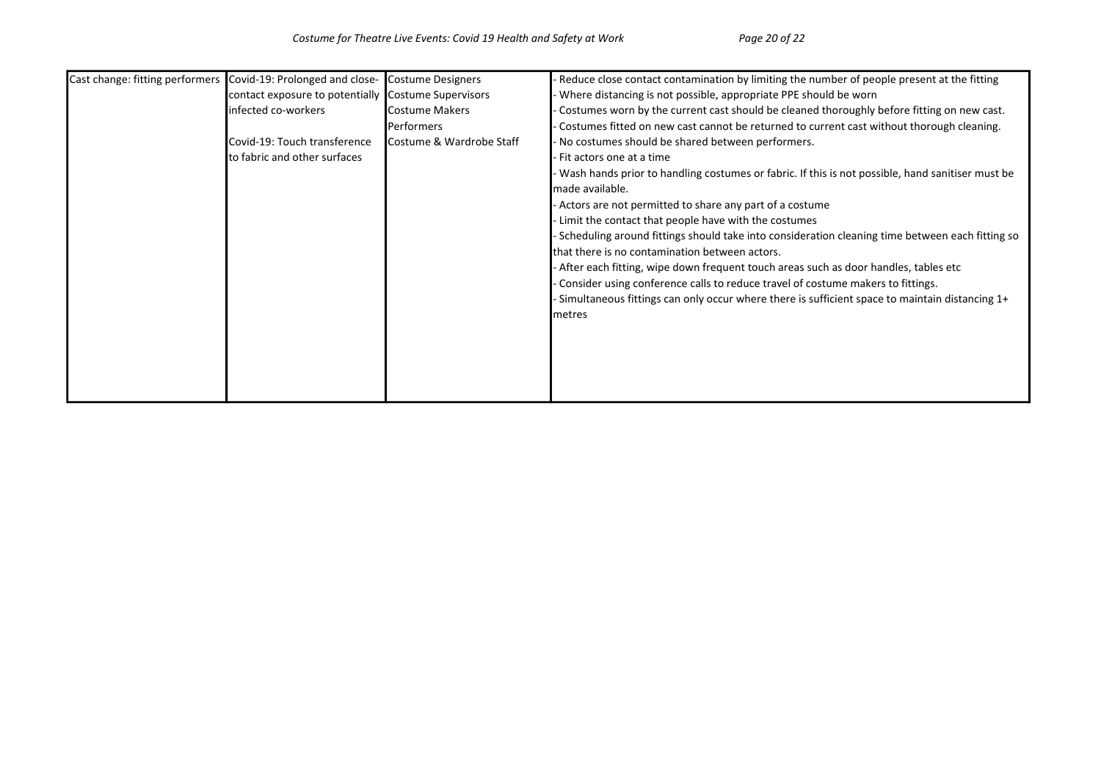| Cast change: fitting performers Covid-19: Prolonged and close- |                                                     | Costume Designers                 | Reduce close contact contamination by limiting the number of people present at the fitting       |
|----------------------------------------------------------------|-----------------------------------------------------|-----------------------------------|--------------------------------------------------------------------------------------------------|
|                                                                | contact exposure to potentially Costume Supervisors |                                   | Where distancing is not possible, appropriate PPE should be worn                                 |
|                                                                | infected co-workers                                 | Costume Makers                    | Costumes worn by the current cast should be cleaned thoroughly before fitting on new cast.       |
|                                                                |                                                     | lPerformers                       | Costumes fitted on new cast cannot be returned to current cast without thorough cleaning.        |
|                                                                | Covid-19: Touch transference                        | <b>I</b> Costume & Wardrobe Staff | No costumes should be shared between performers.                                                 |
|                                                                | to fabric and other surfaces                        |                                   | Fit actors one at a time                                                                         |
|                                                                |                                                     |                                   | Wash hands prior to handling costumes or fabric. If this is not possible, hand sanitiser must be |
|                                                                |                                                     |                                   | made available.                                                                                  |
|                                                                |                                                     |                                   | - Actors are not permitted to share any part of a costume                                        |
|                                                                |                                                     |                                   | Limit the contact that people have with the costumes                                             |
|                                                                |                                                     |                                   | Scheduling around fittings should take into consideration cleaning time between each fitting so  |
|                                                                |                                                     |                                   | that there is no contamination between actors.                                                   |
|                                                                |                                                     |                                   | - After each fitting, wipe down frequent touch areas such as door handles, tables etc            |
|                                                                |                                                     |                                   | Consider using conference calls to reduce travel of costume makers to fittings.                  |
|                                                                |                                                     |                                   | -Simultaneous fittings can only occur where there is sufficient space to maintain distancing 1+  |
|                                                                |                                                     |                                   | metres                                                                                           |
|                                                                |                                                     |                                   |                                                                                                  |
|                                                                |                                                     |                                   |                                                                                                  |
|                                                                |                                                     |                                   |                                                                                                  |
|                                                                |                                                     |                                   |                                                                                                  |
|                                                                |                                                     |                                   |                                                                                                  |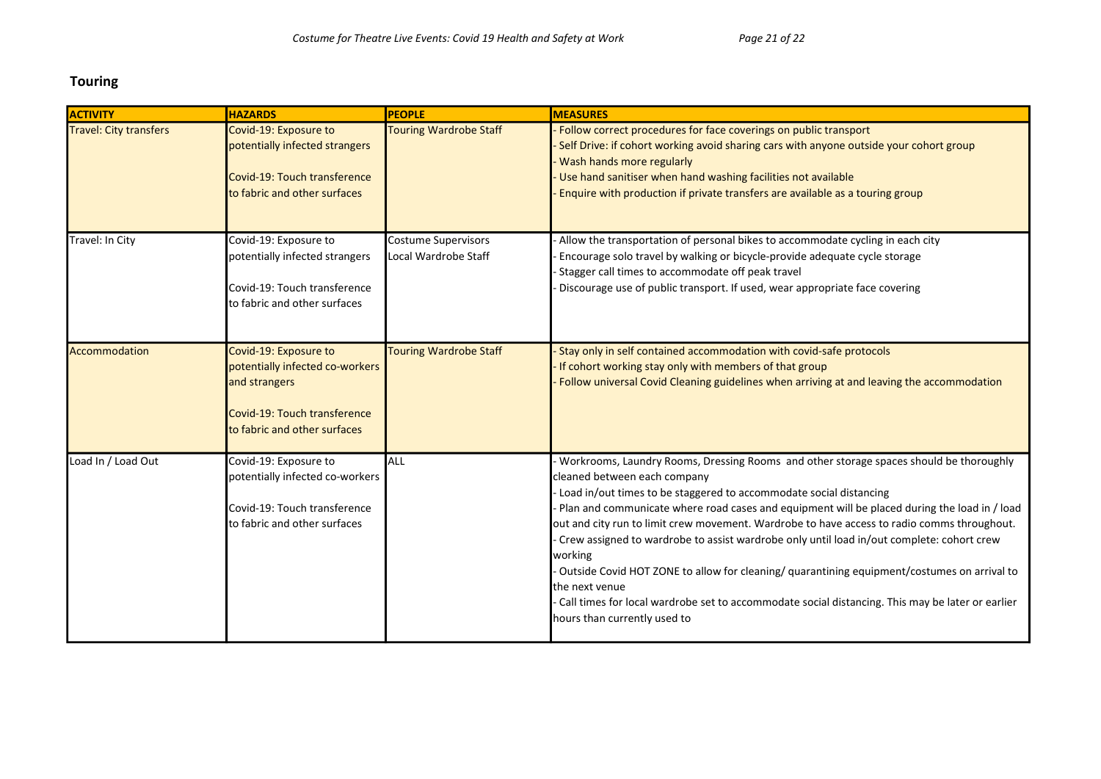### Touring

| <b>ACTIVITY</b>               | <b>HAZARDS</b>                                                                                                                            | <b>PEOPLE</b>                                      | <b>MEASURES</b>                                                                                                                                                                                                                                                                                                                                                                                                                                                                                                                                                                                                                                                                                                                                          |
|-------------------------------|-------------------------------------------------------------------------------------------------------------------------------------------|----------------------------------------------------|----------------------------------------------------------------------------------------------------------------------------------------------------------------------------------------------------------------------------------------------------------------------------------------------------------------------------------------------------------------------------------------------------------------------------------------------------------------------------------------------------------------------------------------------------------------------------------------------------------------------------------------------------------------------------------------------------------------------------------------------------------|
| <b>Travel: City transfers</b> | Covid-19: Exposure to<br>potentially infected strangers<br>Covid-19: Touch transference<br>to fabric and other surfaces                   | <b>Touring Wardrobe Staff</b>                      | Follow correct procedures for face coverings on public transport<br>Self Drive: if cohort working avoid sharing cars with anyone outside your cohort group<br>Wash hands more regularly<br>Use hand sanitiser when hand washing facilities not available<br>Enquire with production if private transfers are available as a touring group                                                                                                                                                                                                                                                                                                                                                                                                                |
| Travel: In City               | Covid-19: Exposure to<br>potentially infected strangers<br>Covid-19: Touch transference<br>to fabric and other surfaces                   | <b>Costume Supervisors</b><br>Local Wardrobe Staff | Allow the transportation of personal bikes to accommodate cycling in each city<br>Encourage solo travel by walking or bicycle-provide adequate cycle storage<br>Stagger call times to accommodate off peak travel<br>Discourage use of public transport. If used, wear appropriate face covering                                                                                                                                                                                                                                                                                                                                                                                                                                                         |
| Accommodation                 | Covid-19: Exposure to<br>potentially infected co-workers<br>and strangers<br>Covid-19: Touch transference<br>to fabric and other surfaces | <b>Touring Wardrobe Staff</b>                      | Stay only in self contained accommodation with covid-safe protocols<br>If cohort working stay only with members of that group<br>Follow universal Covid Cleaning guidelines when arriving at and leaving the accommodation                                                                                                                                                                                                                                                                                                                                                                                                                                                                                                                               |
| Load In / Load Out            | Covid-19: Exposure to<br>potentially infected co-workers<br>Covid-19: Touch transference<br>to fabric and other surfaces                  | ALL                                                | Workrooms, Laundry Rooms, Dressing Rooms and other storage spaces should be thoroughly<br>cleaned between each company<br>Load in/out times to be staggered to accommodate social distancing<br>Plan and communicate where road cases and equipment will be placed during the load in / load<br>out and city run to limit crew movement. Wardrobe to have access to radio comms throughout.<br>Crew assigned to wardrobe to assist wardrobe only until load in/out complete: cohort crew<br>working<br>Outside Covid HOT ZONE to allow for cleaning/ quarantining equipment/costumes on arrival to<br>the next venue<br>Call times for local wardrobe set to accommodate social distancing. This may be later or earlier<br>hours than currently used to |